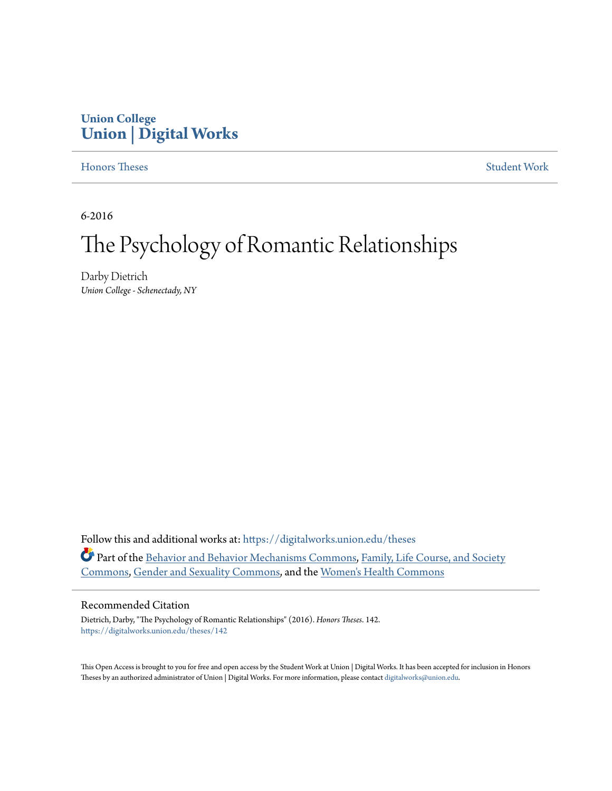## **Union College [Union | Digital Works](https://digitalworks.union.edu?utm_source=digitalworks.union.edu%2Ftheses%2F142&utm_medium=PDF&utm_campaign=PDFCoverPages)**

#### [Honors Theses](https://digitalworks.union.edu/theses?utm_source=digitalworks.union.edu%2Ftheses%2F142&utm_medium=PDF&utm_campaign=PDFCoverPages) [Student Work](https://digitalworks.union.edu/studentwork?utm_source=digitalworks.union.edu%2Ftheses%2F142&utm_medium=PDF&utm_campaign=PDFCoverPages)

6-2016

# The Psychology of Romantic Relationships

Darby Dietrich *Union College - Schenectady, NY*

Follow this and additional works at: [https://digitalworks.union.edu/theses](https://digitalworks.union.edu/theses?utm_source=digitalworks.union.edu%2Ftheses%2F142&utm_medium=PDF&utm_campaign=PDFCoverPages) Part of the [Behavior and Behavior Mechanisms Commons,](http://network.bepress.com/hgg/discipline/963?utm_source=digitalworks.union.edu%2Ftheses%2F142&utm_medium=PDF&utm_campaign=PDFCoverPages) [Family, Life Course, and Society](http://network.bepress.com/hgg/discipline/419?utm_source=digitalworks.union.edu%2Ftheses%2F142&utm_medium=PDF&utm_campaign=PDFCoverPages) [Commons,](http://network.bepress.com/hgg/discipline/419?utm_source=digitalworks.union.edu%2Ftheses%2F142&utm_medium=PDF&utm_campaign=PDFCoverPages) [Gender and Sexuality Commons](http://network.bepress.com/hgg/discipline/420?utm_source=digitalworks.union.edu%2Ftheses%2F142&utm_medium=PDF&utm_campaign=PDFCoverPages), and the [Women's Health Commons](http://network.bepress.com/hgg/discipline/1241?utm_source=digitalworks.union.edu%2Ftheses%2F142&utm_medium=PDF&utm_campaign=PDFCoverPages)

#### Recommended Citation

Dietrich, Darby, "The Psychology of Romantic Relationships" (2016). *Honors Theses*. 142. [https://digitalworks.union.edu/theses/142](https://digitalworks.union.edu/theses/142?utm_source=digitalworks.union.edu%2Ftheses%2F142&utm_medium=PDF&utm_campaign=PDFCoverPages)

This Open Access is brought to you for free and open access by the Student Work at Union | Digital Works. It has been accepted for inclusion in Honors Theses by an authorized administrator of Union | Digital Works. For more information, please contact [digitalworks@union.edu.](mailto:digitalworks@union.edu)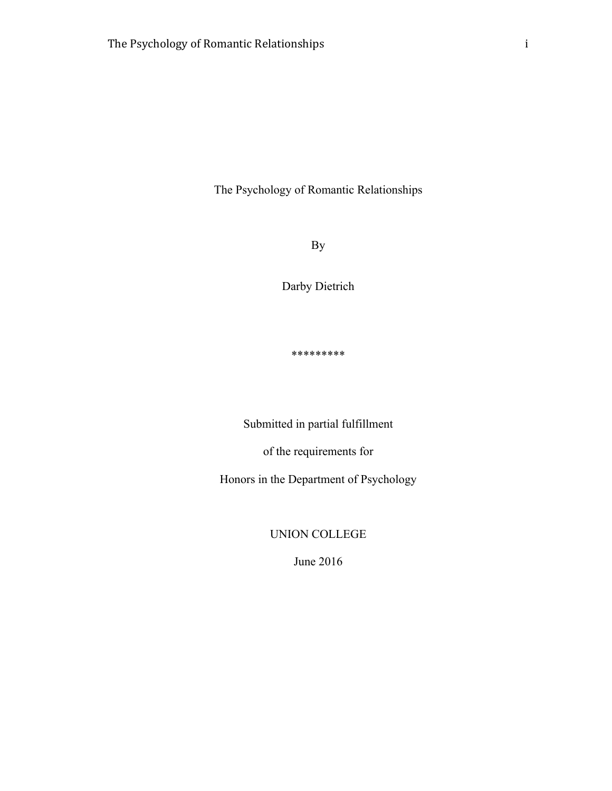By

Darby Dietrich

\*\*\*\*\*\*\*\*\*

Submitted in partial fulfillment

of the requirements for

Honors in the Department of Psychology

UNION COLLEGE

June 2016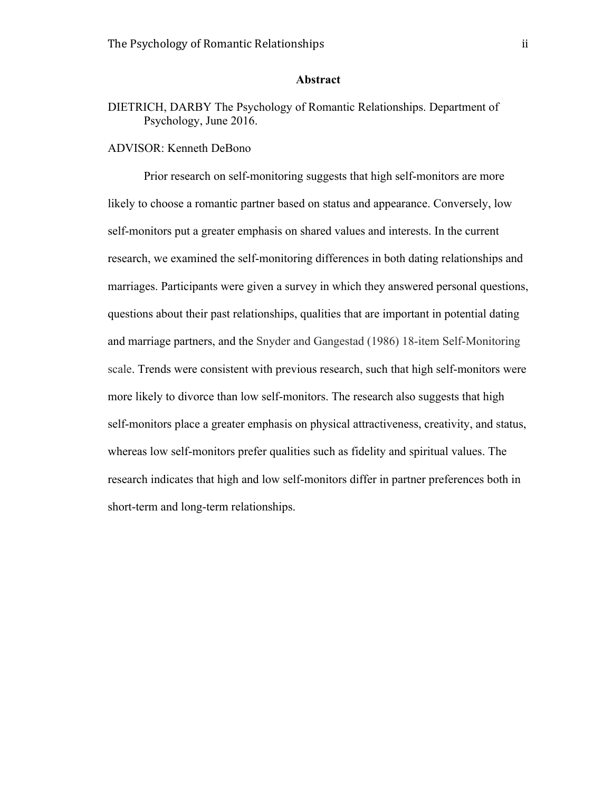#### **Abstract**

## DIETRICH, DARBY The Psychology of Romantic Relationships. Department of Psychology, June 2016.

## ADVISOR: Kenneth DeBono

Prior research on self-monitoring suggests that high self-monitors are more likely to choose a romantic partner based on status and appearance. Conversely, low self-monitors put a greater emphasis on shared values and interests. In the current research, we examined the self-monitoring differences in both dating relationships and marriages. Participants were given a survey in which they answered personal questions, questions about their past relationships, qualities that are important in potential dating and marriage partners, and the Snyder and Gangestad (1986) 18-item Self-Monitoring scale. Trends were consistent with previous research, such that high self-monitors were more likely to divorce than low self-monitors. The research also suggests that high self-monitors place a greater emphasis on physical attractiveness, creativity, and status, whereas low self-monitors prefer qualities such as fidelity and spiritual values. The research indicates that high and low self-monitors differ in partner preferences both in short-term and long-term relationships.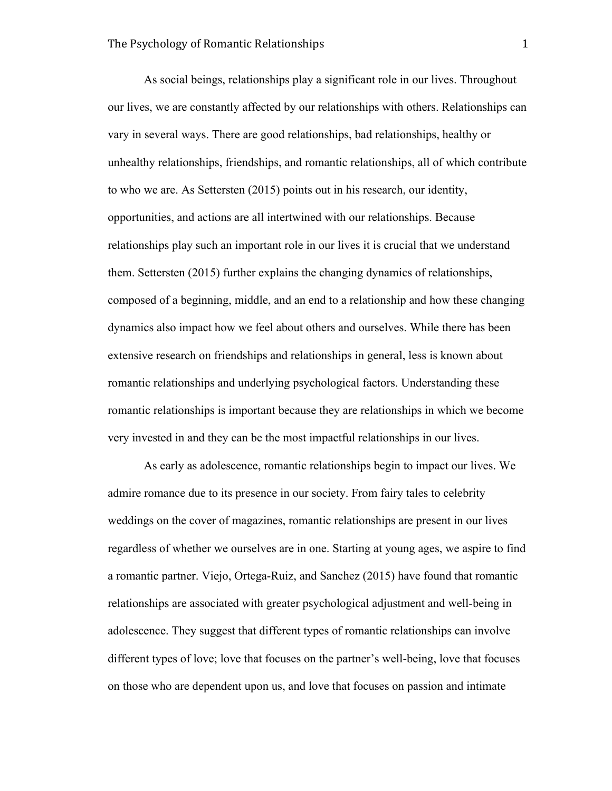As social beings, relationships play a significant role in our lives. Throughout our lives, we are constantly affected by our relationships with others. Relationships can vary in several ways. There are good relationships, bad relationships, healthy or unhealthy relationships, friendships, and romantic relationships, all of which contribute to who we are. As Settersten (2015) points out in his research, our identity, opportunities, and actions are all intertwined with our relationships. Because relationships play such an important role in our lives it is crucial that we understand them. Settersten (2015) further explains the changing dynamics of relationships, composed of a beginning, middle, and an end to a relationship and how these changing dynamics also impact how we feel about others and ourselves. While there has been extensive research on friendships and relationships in general, less is known about romantic relationships and underlying psychological factors. Understanding these romantic relationships is important because they are relationships in which we become very invested in and they can be the most impactful relationships in our lives.

As early as adolescence, romantic relationships begin to impact our lives. We admire romance due to its presence in our society. From fairy tales to celebrity weddings on the cover of magazines, romantic relationships are present in our lives regardless of whether we ourselves are in one. Starting at young ages, we aspire to find a romantic partner. Viejo, Ortega-Ruiz, and Sanchez (2015) have found that romantic relationships are associated with greater psychological adjustment and well-being in adolescence. They suggest that different types of romantic relationships can involve different types of love; love that focuses on the partner's well-being, love that focuses on those who are dependent upon us, and love that focuses on passion and intimate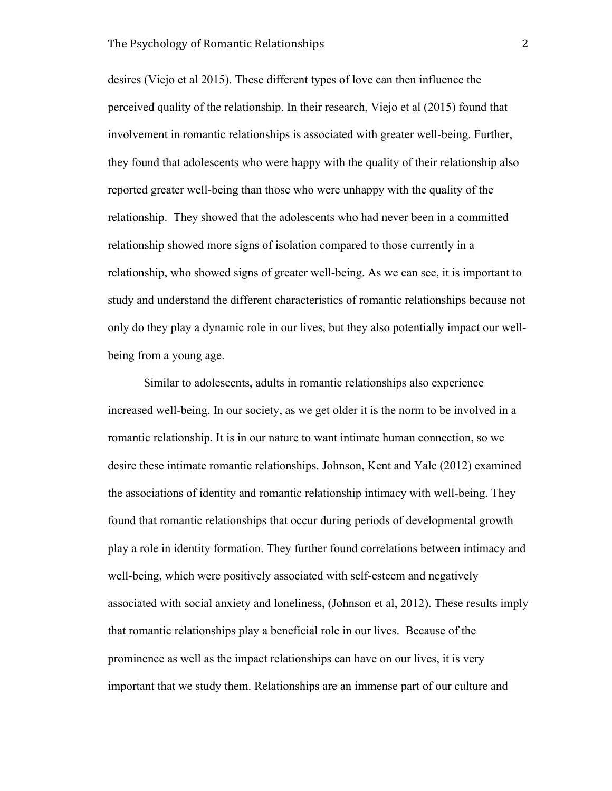desires (Viejo et al 2015). These different types of love can then influence the perceived quality of the relationship. In their research, Viejo et al (2015) found that involvement in romantic relationships is associated with greater well-being. Further, they found that adolescents who were happy with the quality of their relationship also reported greater well-being than those who were unhappy with the quality of the relationship. They showed that the adolescents who had never been in a committed relationship showed more signs of isolation compared to those currently in a relationship, who showed signs of greater well-being. As we can see, it is important to study and understand the different characteristics of romantic relationships because not only do they play a dynamic role in our lives, but they also potentially impact our wellbeing from a young age.

Similar to adolescents, adults in romantic relationships also experience increased well-being. In our society, as we get older it is the norm to be involved in a romantic relationship. It is in our nature to want intimate human connection, so we desire these intimate romantic relationships. Johnson, Kent and Yale (2012) examined the associations of identity and romantic relationship intimacy with well-being. They found that romantic relationships that occur during periods of developmental growth play a role in identity formation. They further found correlations between intimacy and well-being, which were positively associated with self-esteem and negatively associated with social anxiety and loneliness, (Johnson et al, 2012). These results imply that romantic relationships play a beneficial role in our lives. Because of the prominence as well as the impact relationships can have on our lives, it is very important that we study them. Relationships are an immense part of our culture and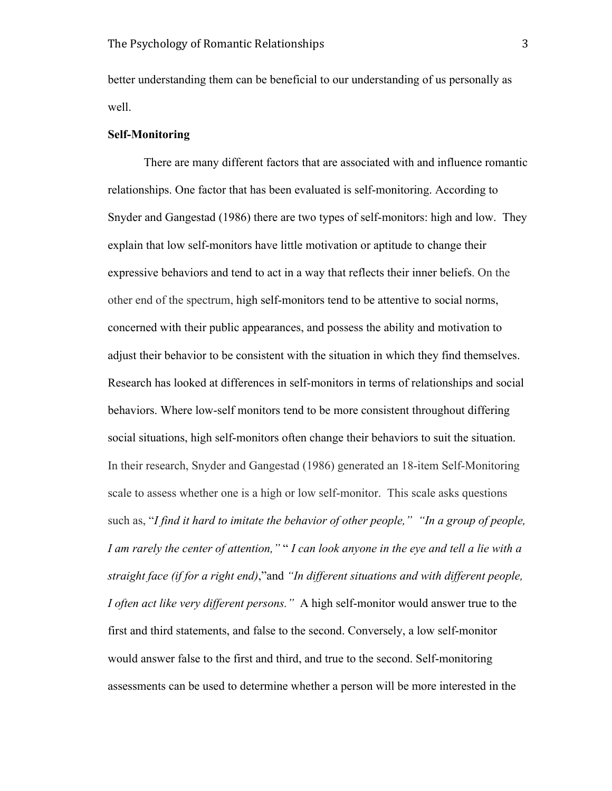better understanding them can be beneficial to our understanding of us personally as well.

#### **Self-Monitoring**

There are many different factors that are associated with and influence romantic relationships. One factor that has been evaluated is self-monitoring. According to Snyder and Gangestad (1986) there are two types of self-monitors: high and low. They explain that low self-monitors have little motivation or aptitude to change their expressive behaviors and tend to act in a way that reflects their inner beliefs. On the other end of the spectrum, high self-monitors tend to be attentive to social norms, concerned with their public appearances, and possess the ability and motivation to adjust their behavior to be consistent with the situation in which they find themselves. Research has looked at differences in self-monitors in terms of relationships and social behaviors. Where low-self monitors tend to be more consistent throughout differing social situations, high self-monitors often change their behaviors to suit the situation. In their research, Snyder and Gangestad (1986) generated an 18-item Self-Monitoring scale to assess whether one is a high or low self-monitor. This scale asks questions such as, "*I find it hard to imitate the behavior of other people," "In a group of people, I am rarely the center of attention,"* " *I can look anyone in the eye and tell a lie with a straight face (if for a right end)*,"and *"In different situations and with different people, I often act like very different persons."* A high self-monitor would answer true to the first and third statements, and false to the second. Conversely, a low self-monitor would answer false to the first and third, and true to the second. Self-monitoring assessments can be used to determine whether a person will be more interested in the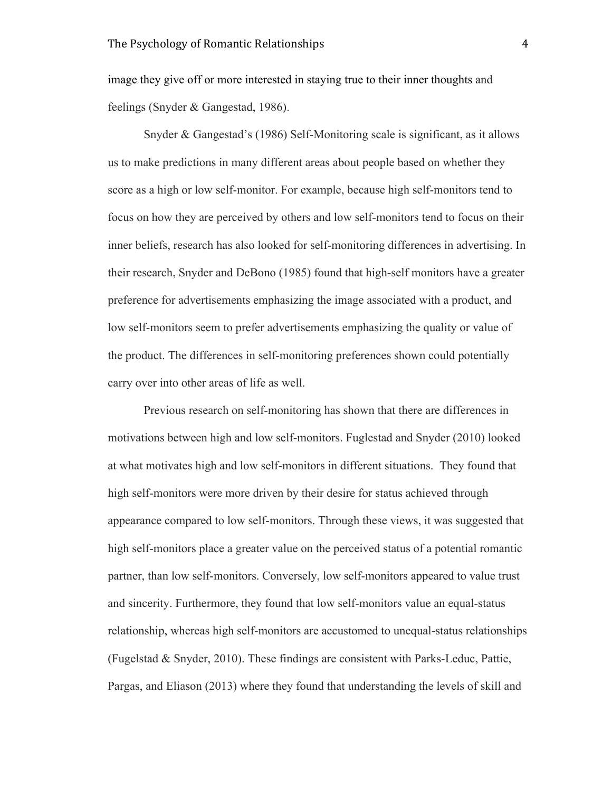image they give off or more interested in staying true to their inner thoughts and feelings (Snyder & Gangestad, 1986).

Snyder & Gangestad's (1986) Self-Monitoring scale is significant, as it allows us to make predictions in many different areas about people based on whether they score as a high or low self-monitor. For example, because high self-monitors tend to focus on how they are perceived by others and low self-monitors tend to focus on their inner beliefs, research has also looked for self-monitoring differences in advertising. In their research, Snyder and DeBono (1985) found that high-self monitors have a greater preference for advertisements emphasizing the image associated with a product, and low self-monitors seem to prefer advertisements emphasizing the quality or value of the product. The differences in self-monitoring preferences shown could potentially carry over into other areas of life as well.

Previous research on self-monitoring has shown that there are differences in motivations between high and low self-monitors. Fuglestad and Snyder (2010) looked at what motivates high and low self-monitors in different situations. They found that high self-monitors were more driven by their desire for status achieved through appearance compared to low self-monitors. Through these views, it was suggested that high self-monitors place a greater value on the perceived status of a potential romantic partner, than low self-monitors. Conversely, low self-monitors appeared to value trust and sincerity. Furthermore, they found that low self-monitors value an equal-status relationship, whereas high self-monitors are accustomed to unequal-status relationships (Fugelstad & Snyder, 2010). These findings are consistent with Parks-Leduc, Pattie, Pargas, and Eliason (2013) where they found that understanding the levels of skill and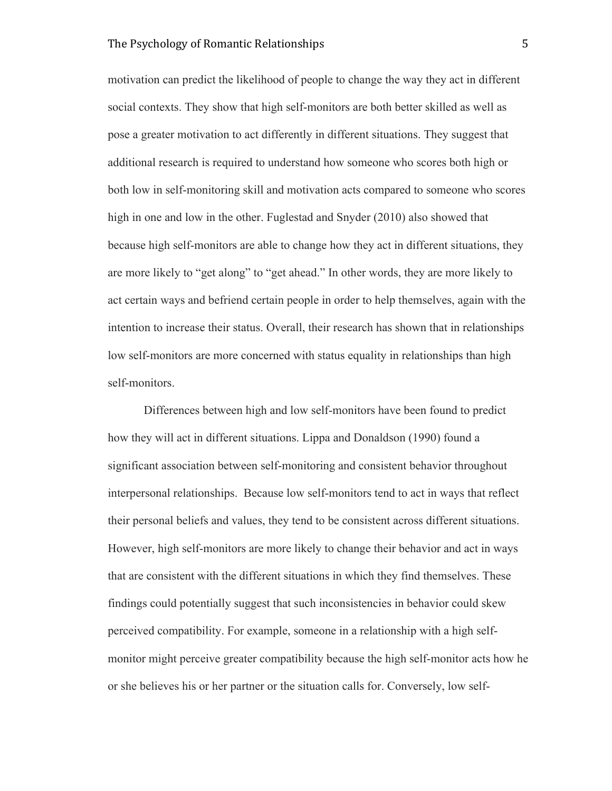motivation can predict the likelihood of people to change the way they act in different social contexts. They show that high self-monitors are both better skilled as well as pose a greater motivation to act differently in different situations. They suggest that additional research is required to understand how someone who scores both high or both low in self-monitoring skill and motivation acts compared to someone who scores high in one and low in the other. Fuglestad and Snyder (2010) also showed that because high self-monitors are able to change how they act in different situations, they are more likely to "get along" to "get ahead." In other words, they are more likely to act certain ways and befriend certain people in order to help themselves, again with the intention to increase their status. Overall, their research has shown that in relationships low self-monitors are more concerned with status equality in relationships than high self-monitors.

Differences between high and low self-monitors have been found to predict how they will act in different situations. Lippa and Donaldson (1990) found a significant association between self-monitoring and consistent behavior throughout interpersonal relationships. Because low self-monitors tend to act in ways that reflect their personal beliefs and values, they tend to be consistent across different situations. However, high self-monitors are more likely to change their behavior and act in ways that are consistent with the different situations in which they find themselves. These findings could potentially suggest that such inconsistencies in behavior could skew perceived compatibility. For example, someone in a relationship with a high selfmonitor might perceive greater compatibility because the high self-monitor acts how he or she believes his or her partner or the situation calls for. Conversely, low self-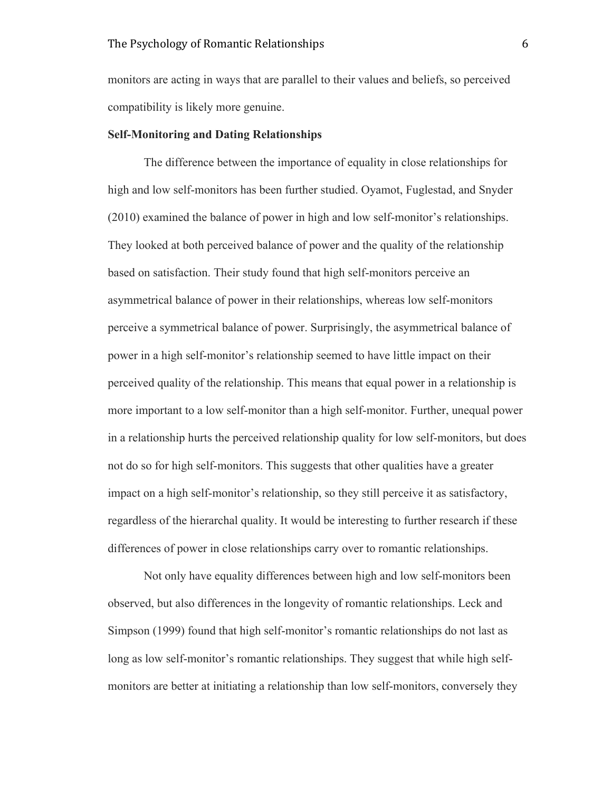monitors are acting in ways that are parallel to their values and beliefs, so perceived compatibility is likely more genuine.

#### **Self-Monitoring and Dating Relationships**

The difference between the importance of equality in close relationships for high and low self-monitors has been further studied. Oyamot, Fuglestad, and Snyder (2010) examined the balance of power in high and low self-monitor's relationships. They looked at both perceived balance of power and the quality of the relationship based on satisfaction. Their study found that high self-monitors perceive an asymmetrical balance of power in their relationships, whereas low self-monitors perceive a symmetrical balance of power. Surprisingly, the asymmetrical balance of power in a high self-monitor's relationship seemed to have little impact on their perceived quality of the relationship. This means that equal power in a relationship is more important to a low self-monitor than a high self-monitor. Further, unequal power in a relationship hurts the perceived relationship quality for low self-monitors, but does not do so for high self-monitors. This suggests that other qualities have a greater impact on a high self-monitor's relationship, so they still perceive it as satisfactory, regardless of the hierarchal quality. It would be interesting to further research if these differences of power in close relationships carry over to romantic relationships.

Not only have equality differences between high and low self-monitors been observed, but also differences in the longevity of romantic relationships. Leck and Simpson (1999) found that high self-monitor's romantic relationships do not last as long as low self-monitor's romantic relationships. They suggest that while high selfmonitors are better at initiating a relationship than low self-monitors, conversely they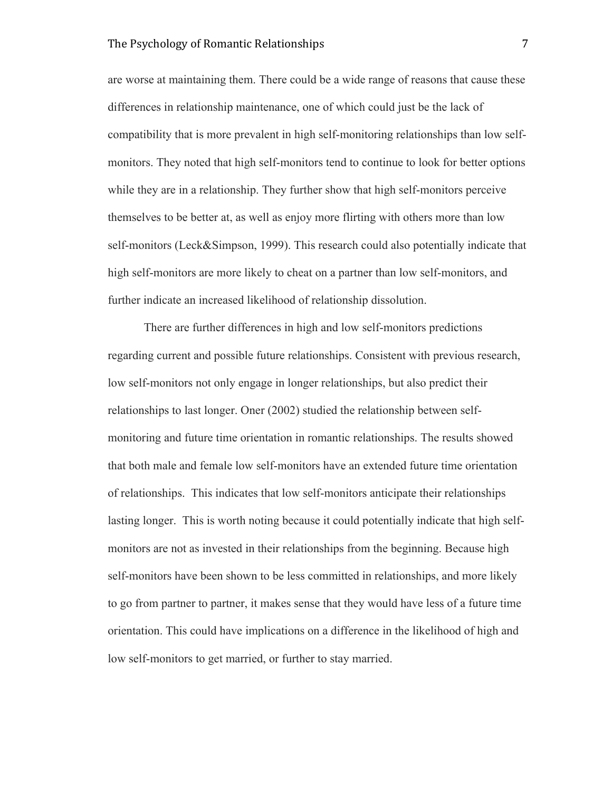are worse at maintaining them. There could be a wide range of reasons that cause these differences in relationship maintenance, one of which could just be the lack of compatibility that is more prevalent in high self-monitoring relationships than low selfmonitors. They noted that high self-monitors tend to continue to look for better options while they are in a relationship. They further show that high self-monitors perceive themselves to be better at, as well as enjoy more flirting with others more than low self-monitors (Leck&Simpson, 1999). This research could also potentially indicate that high self-monitors are more likely to cheat on a partner than low self-monitors, and further indicate an increased likelihood of relationship dissolution.

There are further differences in high and low self-monitors predictions regarding current and possible future relationships. Consistent with previous research, low self-monitors not only engage in longer relationships, but also predict their relationships to last longer. Oner (2002) studied the relationship between selfmonitoring and future time orientation in romantic relationships. The results showed that both male and female low self-monitors have an extended future time orientation of relationships. This indicates that low self-monitors anticipate their relationships lasting longer. This is worth noting because it could potentially indicate that high selfmonitors are not as invested in their relationships from the beginning. Because high self-monitors have been shown to be less committed in relationships, and more likely to go from partner to partner, it makes sense that they would have less of a future time orientation. This could have implications on a difference in the likelihood of high and low self-monitors to get married, or further to stay married.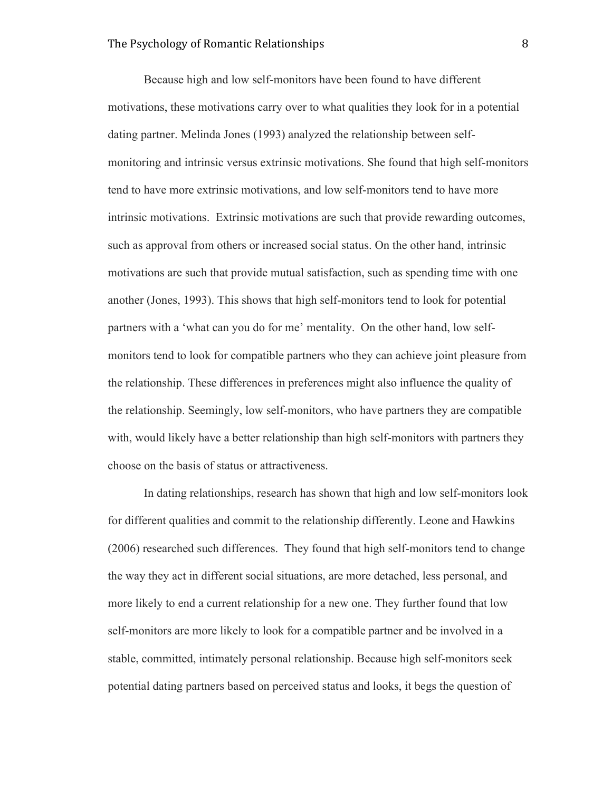Because high and low self-monitors have been found to have different motivations, these motivations carry over to what qualities they look for in a potential dating partner. Melinda Jones (1993) analyzed the relationship between selfmonitoring and intrinsic versus extrinsic motivations. She found that high self-monitors tend to have more extrinsic motivations, and low self-monitors tend to have more intrinsic motivations. Extrinsic motivations are such that provide rewarding outcomes, such as approval from others or increased social status. On the other hand, intrinsic motivations are such that provide mutual satisfaction, such as spending time with one another (Jones, 1993). This shows that high self-monitors tend to look for potential partners with a 'what can you do for me' mentality. On the other hand, low selfmonitors tend to look for compatible partners who they can achieve joint pleasure from the relationship. These differences in preferences might also influence the quality of the relationship. Seemingly, low self-monitors, who have partners they are compatible with, would likely have a better relationship than high self-monitors with partners they choose on the basis of status or attractiveness.

In dating relationships, research has shown that high and low self-monitors look for different qualities and commit to the relationship differently. Leone and Hawkins (2006) researched such differences. They found that high self-monitors tend to change the way they act in different social situations, are more detached, less personal, and more likely to end a current relationship for a new one. They further found that low self-monitors are more likely to look for a compatible partner and be involved in a stable, committed, intimately personal relationship. Because high self-monitors seek potential dating partners based on perceived status and looks, it begs the question of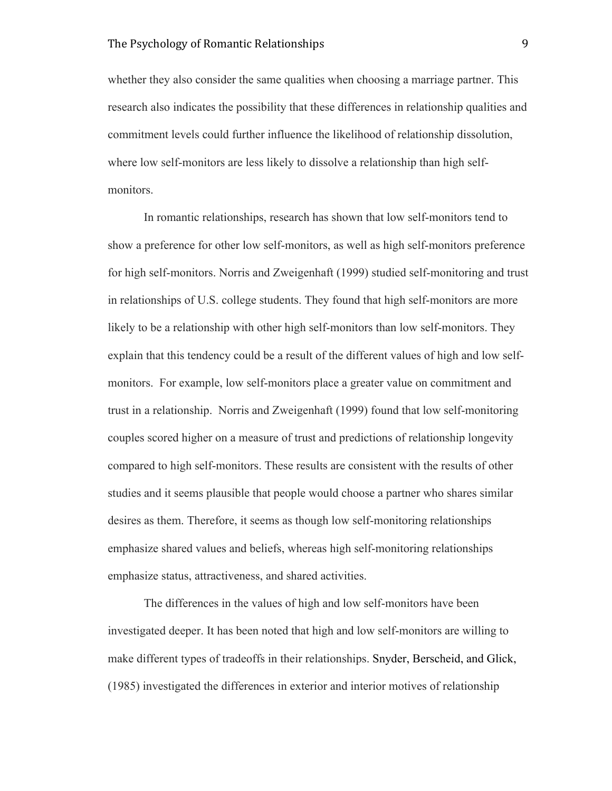whether they also consider the same qualities when choosing a marriage partner. This research also indicates the possibility that these differences in relationship qualities and commitment levels could further influence the likelihood of relationship dissolution, where low self-monitors are less likely to dissolve a relationship than high selfmonitors.

In romantic relationships, research has shown that low self-monitors tend to show a preference for other low self-monitors, as well as high self-monitors preference for high self-monitors. Norris and Zweigenhaft (1999) studied self-monitoring and trust in relationships of U.S. college students. They found that high self-monitors are more likely to be a relationship with other high self-monitors than low self-monitors. They explain that this tendency could be a result of the different values of high and low selfmonitors. For example, low self-monitors place a greater value on commitment and trust in a relationship. Norris and Zweigenhaft (1999) found that low self-monitoring couples scored higher on a measure of trust and predictions of relationship longevity compared to high self-monitors. These results are consistent with the results of other studies and it seems plausible that people would choose a partner who shares similar desires as them. Therefore, it seems as though low self-monitoring relationships emphasize shared values and beliefs, whereas high self-monitoring relationships emphasize status, attractiveness, and shared activities.

The differences in the values of high and low self-monitors have been investigated deeper. It has been noted that high and low self-monitors are willing to make different types of tradeoffs in their relationships. Snyder, Berscheid, and Glick, (1985) investigated the differences in exterior and interior motives of relationship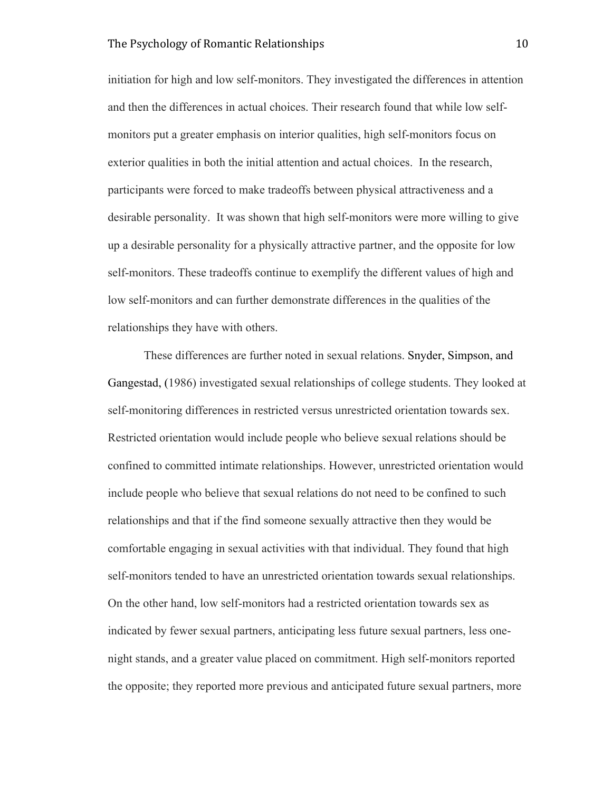initiation for high and low self-monitors. They investigated the differences in attention and then the differences in actual choices. Their research found that while low selfmonitors put a greater emphasis on interior qualities, high self-monitors focus on exterior qualities in both the initial attention and actual choices. In the research, participants were forced to make tradeoffs between physical attractiveness and a desirable personality. It was shown that high self-monitors were more willing to give up a desirable personality for a physically attractive partner, and the opposite for low self-monitors. These tradeoffs continue to exemplify the different values of high and low self-monitors and can further demonstrate differences in the qualities of the relationships they have with others.

These differences are further noted in sexual relations. Snyder, Simpson, and Gangestad, (1986) investigated sexual relationships of college students. They looked at self-monitoring differences in restricted versus unrestricted orientation towards sex. Restricted orientation would include people who believe sexual relations should be confined to committed intimate relationships. However, unrestricted orientation would include people who believe that sexual relations do not need to be confined to such relationships and that if the find someone sexually attractive then they would be comfortable engaging in sexual activities with that individual. They found that high self-monitors tended to have an unrestricted orientation towards sexual relationships. On the other hand, low self-monitors had a restricted orientation towards sex as indicated by fewer sexual partners, anticipating less future sexual partners, less onenight stands, and a greater value placed on commitment. High self-monitors reported the opposite; they reported more previous and anticipated future sexual partners, more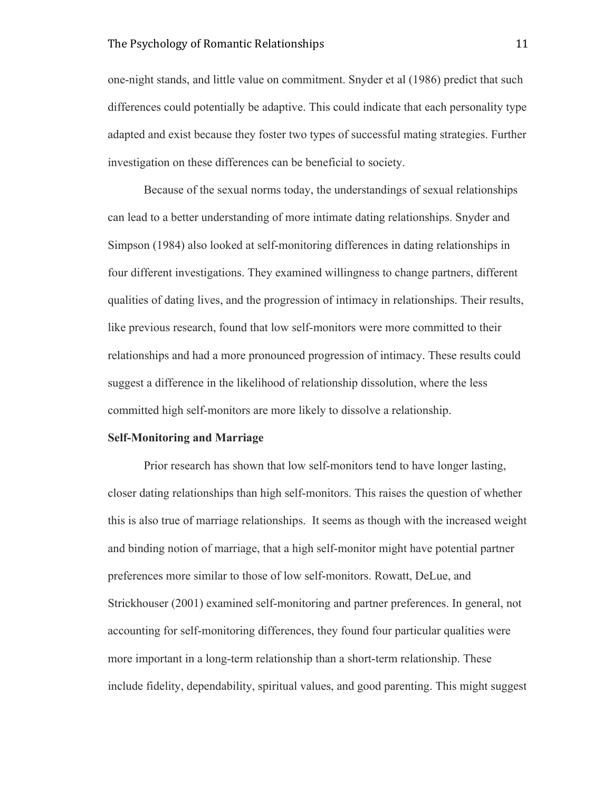one-night stands, and little value on commitment. Snyder et al (1986) predict that such differences could potentially be adaptive. This could indicate that each personality type adapted and exist because they foster two types of successful mating strategies. Further investigation on these differences can be beneficial to society.

Because of the sexual norms today, the understandings of sexual relationships can lead to a better understanding of more intimate dating relationships. Snyder and Simpson (1984) also looked at self-monitoring differences in dating relationships in four different investigations. They examined willingness to change partners, different qualities of dating lives, and the progression of intimacy in relationships. Their results, like previous research, found that low self-monitors were more committed to their relationships and had a more pronounced progression of intimacy. These results could suggest a difference in the likelihood of relationship dissolution, where the less committed high self-monitors are more likely to dissolve a relationship.

#### **Self-Monitoring and Marriage**

Prior research has shown that low self-monitors tend to have longer lasting, closer dating relationships than high self-monitors. This raises the question of whether this is also true of marriage relationships. It seems as though with the increased weight and binding notion of marriage, that a high self-monitor might have potential partner preferences more similar to those of low self-monitors. Rowatt, DeLue, and Strickhouser (2001) examined self-monitoring and partner preferences. In general, not accounting for self-monitoring differences, they found four particular qualities were more important in a long-term relationship than a short-term relationship. These include fidelity, dependability, spiritual values, and good parenting. This might suggest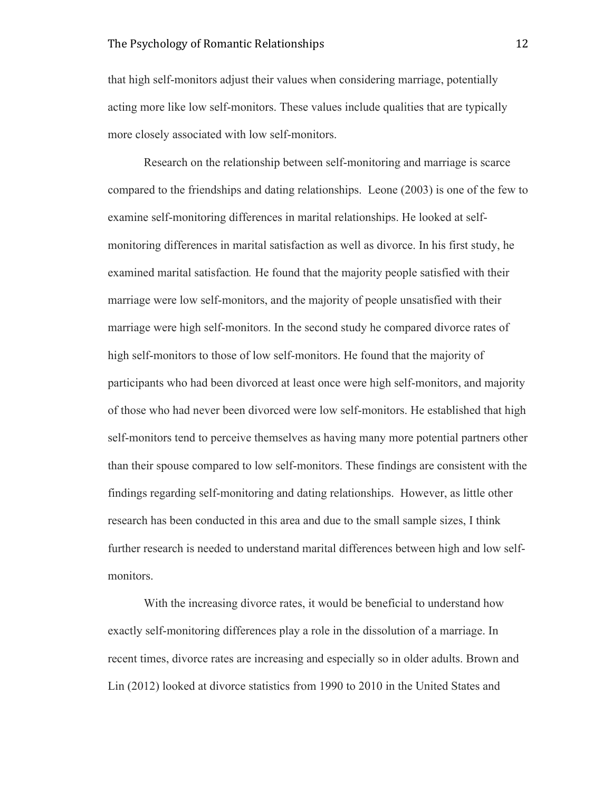that high self-monitors adjust their values when considering marriage, potentially acting more like low self-monitors. These values include qualities that are typically more closely associated with low self-monitors.

Research on the relationship between self-monitoring and marriage is scarce compared to the friendships and dating relationships. Leone (2003) is one of the few to examine self-monitoring differences in marital relationships. He looked at selfmonitoring differences in marital satisfaction as well as divorce. In his first study, he examined marital satisfaction*.* He found that the majority people satisfied with their marriage were low self-monitors, and the majority of people unsatisfied with their marriage were high self-monitors. In the second study he compared divorce rates of high self-monitors to those of low self-monitors. He found that the majority of participants who had been divorced at least once were high self-monitors, and majority of those who had never been divorced were low self-monitors. He established that high self-monitors tend to perceive themselves as having many more potential partners other than their spouse compared to low self-monitors. These findings are consistent with the findings regarding self-monitoring and dating relationships. However, as little other research has been conducted in this area and due to the small sample sizes, I think further research is needed to understand marital differences between high and low selfmonitors.

With the increasing divorce rates, it would be beneficial to understand how exactly self-monitoring differences play a role in the dissolution of a marriage. In recent times, divorce rates are increasing and especially so in older adults. Brown and Lin (2012) looked at divorce statistics from 1990 to 2010 in the United States and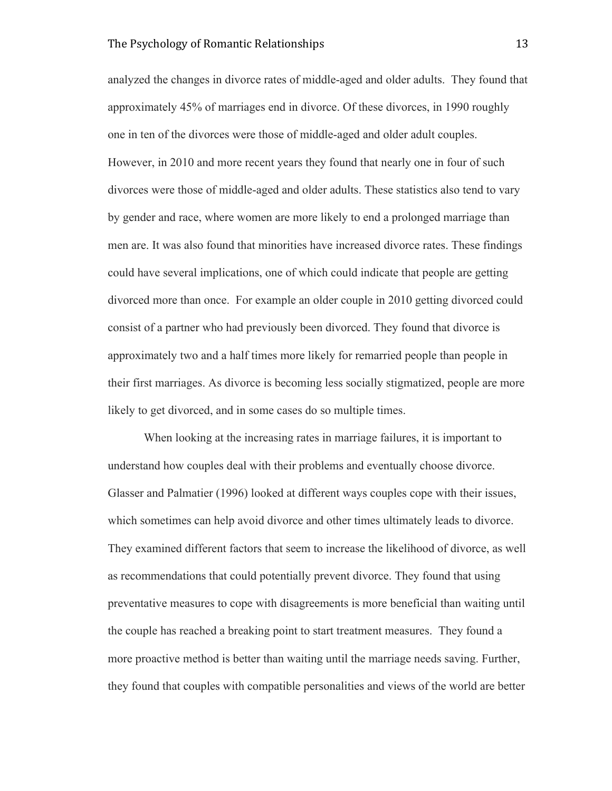analyzed the changes in divorce rates of middle-aged and older adults. They found that approximately 45% of marriages end in divorce. Of these divorces, in 1990 roughly one in ten of the divorces were those of middle-aged and older adult couples. However, in 2010 and more recent years they found that nearly one in four of such divorces were those of middle-aged and older adults. These statistics also tend to vary by gender and race, where women are more likely to end a prolonged marriage than men are. It was also found that minorities have increased divorce rates. These findings could have several implications, one of which could indicate that people are getting divorced more than once. For example an older couple in 2010 getting divorced could consist of a partner who had previously been divorced. They found that divorce is approximately two and a half times more likely for remarried people than people in their first marriages. As divorce is becoming less socially stigmatized, people are more likely to get divorced, and in some cases do so multiple times.

When looking at the increasing rates in marriage failures, it is important to understand how couples deal with their problems and eventually choose divorce. Glasser and Palmatier (1996) looked at different ways couples cope with their issues, which sometimes can help avoid divorce and other times ultimately leads to divorce. They examined different factors that seem to increase the likelihood of divorce, as well as recommendations that could potentially prevent divorce. They found that using preventative measures to cope with disagreements is more beneficial than waiting until the couple has reached a breaking point to start treatment measures. They found a more proactive method is better than waiting until the marriage needs saving. Further, they found that couples with compatible personalities and views of the world are better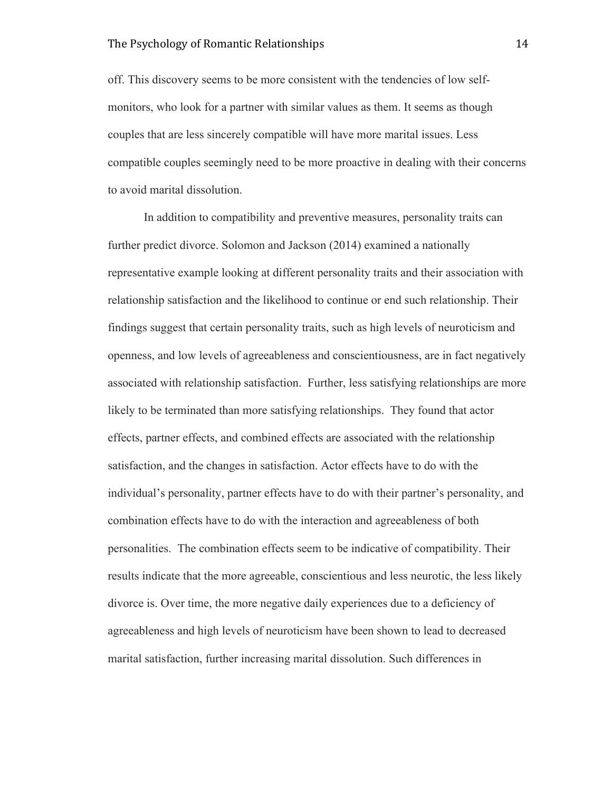off. This discovery seems to be more consistent with the tendencies of low selfmonitors, who look for a partner with similar values as them. It seems as though couples that are less sincerely compatible will have more marital issues. Less compatible couples seemingly need to be more proactive in dealing with their concerns to avoid marital dissolution.

In addition to compatibility and preventive measures, personality traits can further predict divorce. Solomon and Jackson (2014) examined a nationally representative example looking at different personality traits and their association with relationship satisfaction and the likelihood to continue or end such relationship. Their findings suggest that certain personality traits, such as high levels of neuroticism and openness, and low levels of agreeableness and conscientiousness, are in fact negatively associated with relationship satisfaction. Further, less satisfying relationships are more likely to be terminated than more satisfying relationships. They found that actor effects, partner effects, and combined effects are associated with the relationship satisfaction, and the changes in satisfaction. Actor effects have to do with the individual's personality, partner effects have to do with their partner's personality, and combination effects have to do with the interaction and agreeableness of both personalities. The combination effects seem to be indicative of compatibility. Their results indicate that the more agreeable, conscientious and less neurotic, the less likely divorce is. Over time, the more negative daily experiences due to a deficiency of agreeableness and high levels of neuroticism have been shown to lead to decreased marital satisfaction, further increasing marital dissolution. Such differences in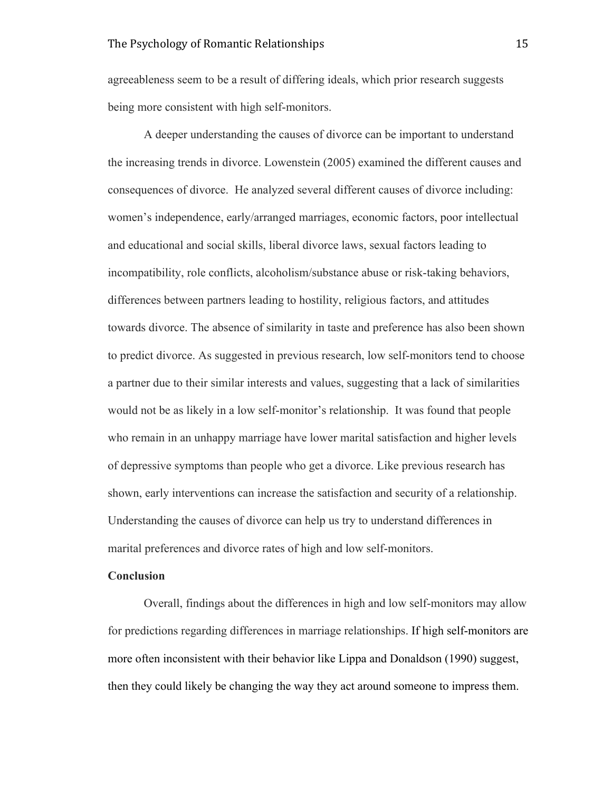agreeableness seem to be a result of differing ideals, which prior research suggests being more consistent with high self-monitors.

A deeper understanding the causes of divorce can be important to understand the increasing trends in divorce. Lowenstein (2005) examined the different causes and consequences of divorce. He analyzed several different causes of divorce including: women's independence, early/arranged marriages, economic factors, poor intellectual and educational and social skills, liberal divorce laws, sexual factors leading to incompatibility, role conflicts, alcoholism/substance abuse or risk-taking behaviors, differences between partners leading to hostility, religious factors, and attitudes towards divorce. The absence of similarity in taste and preference has also been shown to predict divorce. As suggested in previous research, low self-monitors tend to choose a partner due to their similar interests and values, suggesting that a lack of similarities would not be as likely in a low self-monitor's relationship. It was found that people who remain in an unhappy marriage have lower marital satisfaction and higher levels of depressive symptoms than people who get a divorce. Like previous research has shown, early interventions can increase the satisfaction and security of a relationship. Understanding the causes of divorce can help us try to understand differences in marital preferences and divorce rates of high and low self-monitors.

#### **Conclusion**

Overall, findings about the differences in high and low self-monitors may allow for predictions regarding differences in marriage relationships. If high self-monitors are more often inconsistent with their behavior like Lippa and Donaldson (1990) suggest, then they could likely be changing the way they act around someone to impress them.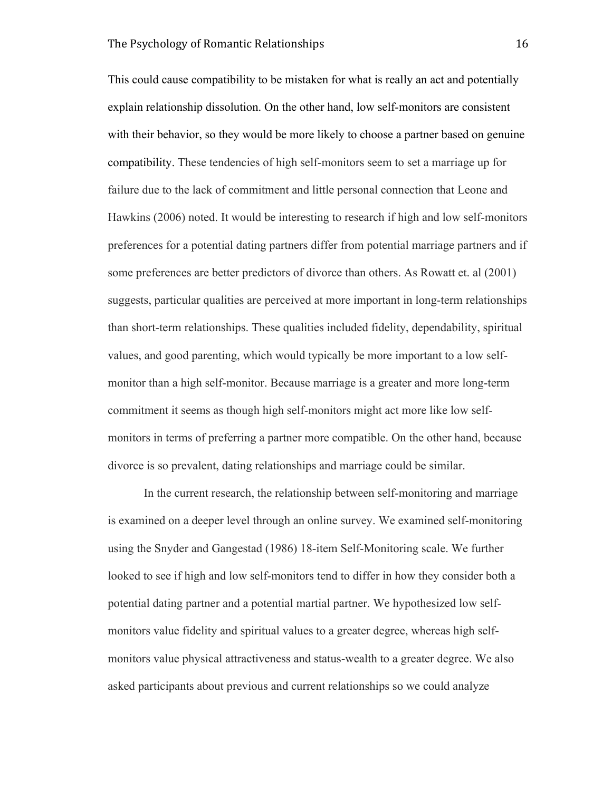This could cause compatibility to be mistaken for what is really an act and potentially explain relationship dissolution. On the other hand, low self-monitors are consistent with their behavior, so they would be more likely to choose a partner based on genuine compatibility. These tendencies of high self-monitors seem to set a marriage up for failure due to the lack of commitment and little personal connection that Leone and Hawkins (2006) noted. It would be interesting to research if high and low self-monitors preferences for a potential dating partners differ from potential marriage partners and if some preferences are better predictors of divorce than others. As Rowatt et. al (2001) suggests, particular qualities are perceived at more important in long-term relationships than short-term relationships. These qualities included fidelity, dependability, spiritual values, and good parenting, which would typically be more important to a low selfmonitor than a high self-monitor. Because marriage is a greater and more long-term commitment it seems as though high self-monitors might act more like low selfmonitors in terms of preferring a partner more compatible. On the other hand, because divorce is so prevalent, dating relationships and marriage could be similar.

In the current research, the relationship between self-monitoring and marriage is examined on a deeper level through an online survey. We examined self-monitoring using the Snyder and Gangestad (1986) 18-item Self-Monitoring scale. We further looked to see if high and low self-monitors tend to differ in how they consider both a potential dating partner and a potential martial partner. We hypothesized low selfmonitors value fidelity and spiritual values to a greater degree, whereas high selfmonitors value physical attractiveness and status-wealth to a greater degree. We also asked participants about previous and current relationships so we could analyze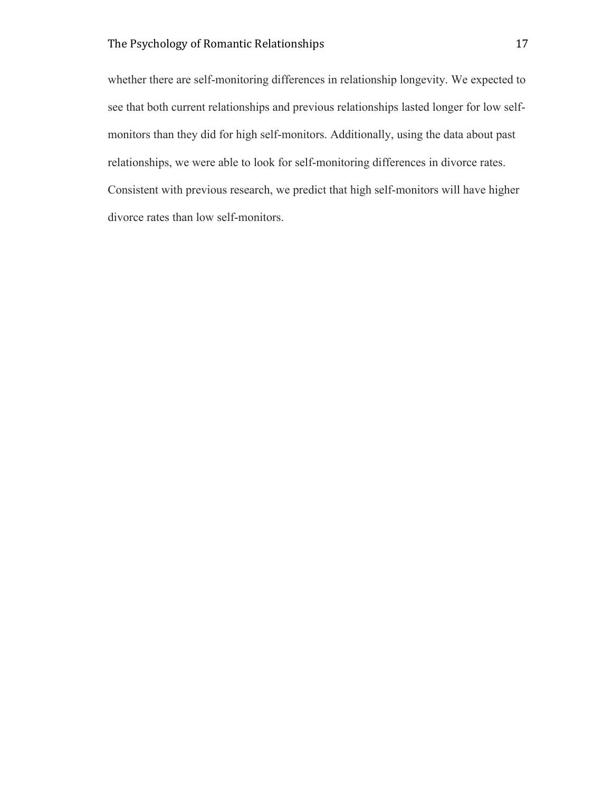whether there are self-monitoring differences in relationship longevity. We expected to see that both current relationships and previous relationships lasted longer for low selfmonitors than they did for high self-monitors. Additionally, using the data about past relationships, we were able to look for self-monitoring differences in divorce rates. Consistent with previous research, we predict that high self-monitors will have higher divorce rates than low self-monitors.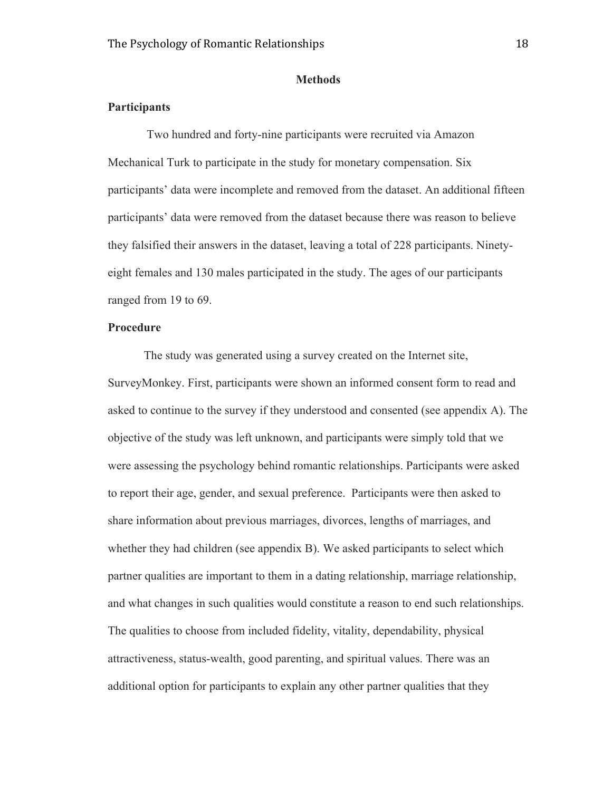#### **Methods**

#### **Participants**

Two hundred and forty-nine participants were recruited via Amazon Mechanical Turk to participate in the study for monetary compensation. Six participants' data were incomplete and removed from the dataset. An additional fifteen participants' data were removed from the dataset because there was reason to believe they falsified their answers in the dataset, leaving a total of 228 participants. Ninetyeight females and 130 males participated in the study. The ages of our participants ranged from 19 to 69.

#### **Procedure**

The study was generated using a survey created on the Internet site, SurveyMonkey. First, participants were shown an informed consent form to read and asked to continue to the survey if they understood and consented (see appendix A). The objective of the study was left unknown, and participants were simply told that we were assessing the psychology behind romantic relationships. Participants were asked to report their age, gender, and sexual preference. Participants were then asked to share information about previous marriages, divorces, lengths of marriages, and whether they had children (see appendix B). We asked participants to select which partner qualities are important to them in a dating relationship, marriage relationship, and what changes in such qualities would constitute a reason to end such relationships. The qualities to choose from included fidelity, vitality, dependability, physical attractiveness, status-wealth, good parenting, and spiritual values. There was an additional option for participants to explain any other partner qualities that they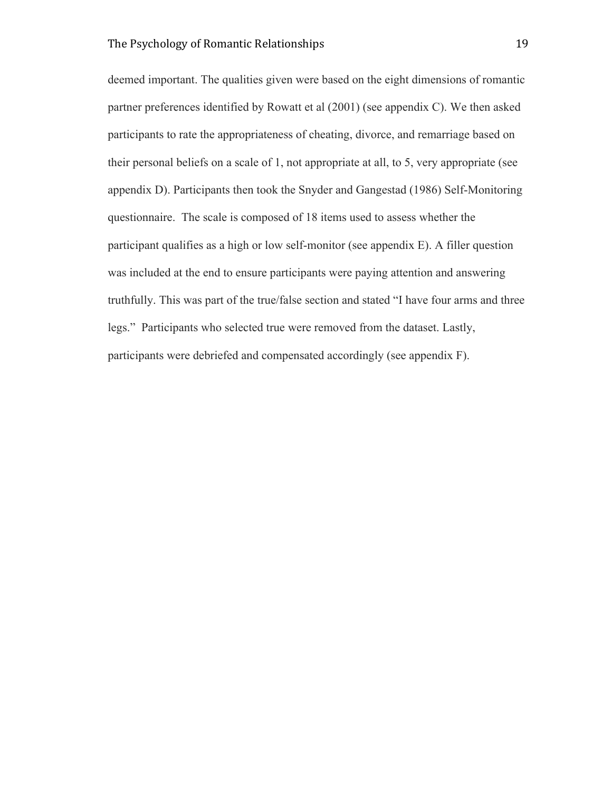deemed important. The qualities given were based on the eight dimensions of romantic partner preferences identified by Rowatt et al (2001) (see appendix C). We then asked participants to rate the appropriateness of cheating, divorce, and remarriage based on their personal beliefs on a scale of 1, not appropriate at all, to 5, very appropriate (see appendix D). Participants then took the Snyder and Gangestad (1986) Self-Monitoring questionnaire. The scale is composed of 18 items used to assess whether the participant qualifies as a high or low self-monitor (see appendix E). A filler question was included at the end to ensure participants were paying attention and answering truthfully. This was part of the true/false section and stated "I have four arms and three legs." Participants who selected true were removed from the dataset. Lastly, participants were debriefed and compensated accordingly (see appendix F).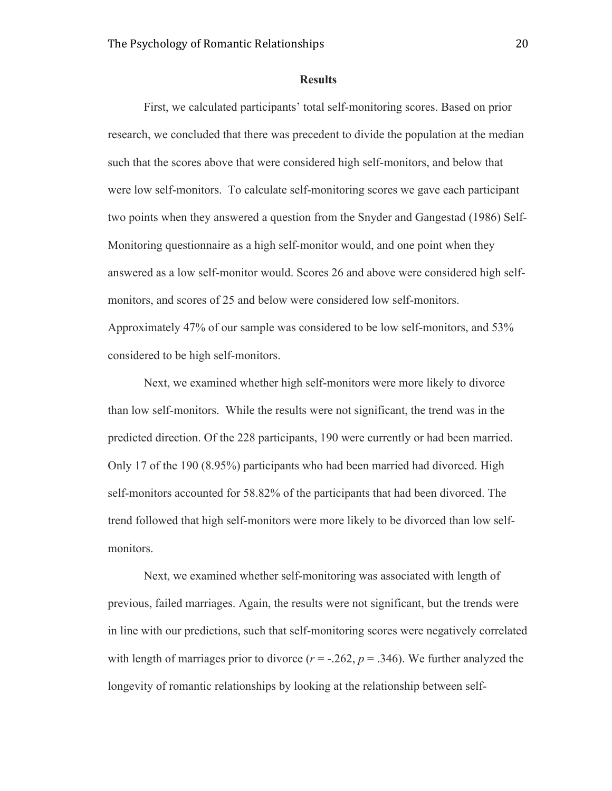#### **Results**

First, we calculated participants' total self-monitoring scores. Based on prior research, we concluded that there was precedent to divide the population at the median such that the scores above that were considered high self-monitors, and below that were low self-monitors. To calculate self-monitoring scores we gave each participant two points when they answered a question from the Snyder and Gangestad (1986) Self-Monitoring questionnaire as a high self-monitor would, and one point when they answered as a low self-monitor would. Scores 26 and above were considered high selfmonitors, and scores of 25 and below were considered low self-monitors. Approximately 47% of our sample was considered to be low self-monitors, and 53% considered to be high self-monitors.

Next, we examined whether high self-monitors were more likely to divorce than low self-monitors. While the results were not significant, the trend was in the predicted direction. Of the 228 participants, 190 were currently or had been married. Only 17 of the 190 (8.95%) participants who had been married had divorced. High self-monitors accounted for 58.82% of the participants that had been divorced. The trend followed that high self-monitors were more likely to be divorced than low selfmonitors.

Next, we examined whether self-monitoring was associated with length of previous, failed marriages. Again, the results were not significant, but the trends were in line with our predictions, such that self-monitoring scores were negatively correlated with length of marriages prior to divorce  $(r = -.262, p = .346)$ . We further analyzed the longevity of romantic relationships by looking at the relationship between self-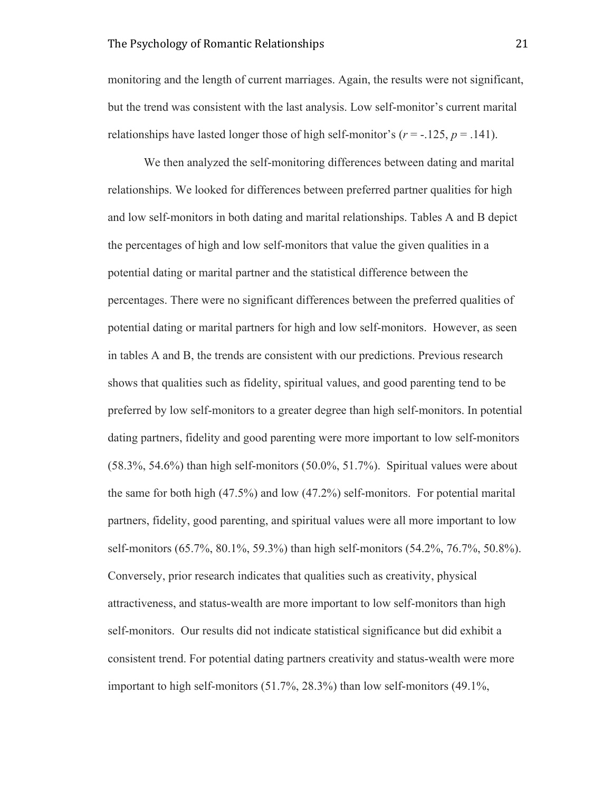monitoring and the length of current marriages. Again, the results were not significant, but the trend was consistent with the last analysis. Low self-monitor's current marital relationships have lasted longer those of high self-monitor's ( $r = -125$ ,  $p = 0.141$ ).

We then analyzed the self-monitoring differences between dating and marital relationships. We looked for differences between preferred partner qualities for high and low self-monitors in both dating and marital relationships. Tables A and B depict the percentages of high and low self-monitors that value the given qualities in a potential dating or marital partner and the statistical difference between the percentages. There were no significant differences between the preferred qualities of potential dating or marital partners for high and low self-monitors. However, as seen in tables A and B, the trends are consistent with our predictions. Previous research shows that qualities such as fidelity, spiritual values, and good parenting tend to be preferred by low self-monitors to a greater degree than high self-monitors. In potential dating partners, fidelity and good parenting were more important to low self-monitors (58.3%, 54.6%) than high self-monitors (50.0%, 51.7%). Spiritual values were about the same for both high (47.5%) and low (47.2%) self-monitors. For potential marital partners, fidelity, good parenting, and spiritual values were all more important to low self-monitors (65.7%, 80.1%, 59.3%) than high self-monitors (54.2%, 76.7%, 50.8%). Conversely, prior research indicates that qualities such as creativity, physical attractiveness, and status-wealth are more important to low self-monitors than high self-monitors. Our results did not indicate statistical significance but did exhibit a consistent trend. For potential dating partners creativity and status-wealth were more important to high self-monitors (51.7%, 28.3%) than low self-monitors (49.1%,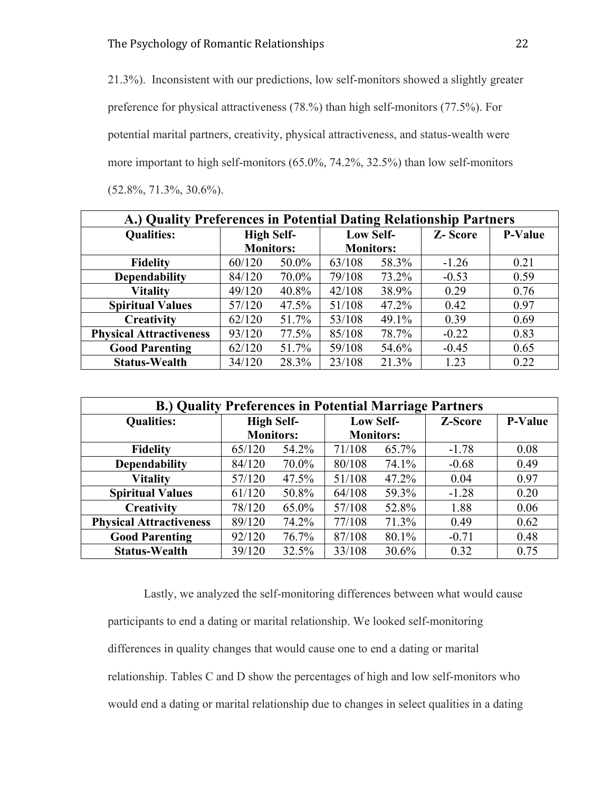21.3%). Inconsistent with our predictions, low self-monitors showed a slightly greater preference for physical attractiveness (78.%) than high self-monitors (77.5%). For potential marital partners, creativity, physical attractiveness, and status-wealth were more important to high self-monitors (65.0%, 74.2%, 32.5%) than low self-monitors (52.8%, 71.3%, 30.6%).

| A.) Quality Preferences in Potential Dating Relationship Partners |                   |       |                  |       |                |                |  |
|-------------------------------------------------------------------|-------------------|-------|------------------|-------|----------------|----------------|--|
| <b>Qualities:</b>                                                 | <b>High Self-</b> |       | <b>Low Self-</b> |       | <b>Z-Score</b> | <b>P-Value</b> |  |
|                                                                   | <b>Monitors:</b>  |       | <b>Monitors:</b> |       |                |                |  |
| <b>Fidelity</b>                                                   | 60/120            | 50.0% | 63/108           | 58.3% | $-1.26$        | 0.21           |  |
| <b>Dependability</b>                                              | 84/120            | 70.0% | 79/108           | 73.2% | $-0.53$        | 0.59           |  |
| <b>Vitality</b>                                                   | 49/120            | 40.8% | 42/108           | 38.9% | 0.29           | 0.76           |  |
| <b>Spiritual Values</b>                                           | 57/120            | 47.5% | 51/108           | 47.2% | 0.42           | 0.97           |  |
| Creativity                                                        | 62/120            | 51.7% | 53/108           | 49.1% | 0.39           | 0.69           |  |
| <b>Physical Attractiveness</b>                                    | 93/120            | 77.5% | 85/108           | 78.7% | $-0.22$        | 0.83           |  |
| <b>Good Parenting</b>                                             | 62/120            | 51.7% | 59/108           | 54.6% | $-0.45$        | 0.65           |  |
| <b>Status-Wealth</b>                                              | 34/120            | 28.3% | 23/108           | 21.3% | 1.23           | 0.22           |  |

| <b>B.) Quality Preferences in Potential Marriage Partners</b> |                   |          |                  |       |         |                |  |
|---------------------------------------------------------------|-------------------|----------|------------------|-------|---------|----------------|--|
| <b>Qualities:</b>                                             | <b>High Self-</b> |          | <b>Low Self-</b> |       | Z-Score | <b>P-Value</b> |  |
|                                                               | <b>Monitors:</b>  |          | <b>Monitors:</b> |       |         |                |  |
| <b>Fidelity</b>                                               | 65/120            | 54.2%    | 71/108           | 65.7% | $-1.78$ | 0.08           |  |
| <b>Dependability</b>                                          | 84/120            | 70.0%    | 80/108           | 74.1% | $-0.68$ | 0.49           |  |
| <b>Vitality</b>                                               | 57/120            | $47.5\%$ | 51/108           | 47.2% | 0.04    | 0.97           |  |
| <b>Spiritual Values</b>                                       | 61/120            | 50.8%    | 64/108           | 59.3% | $-1.28$ | 0.20           |  |
| Creativity                                                    | 78/120            | 65.0%    | 57/108           | 52.8% | 1.88    | 0.06           |  |
| <b>Physical Attractiveness</b>                                | 89/120            | 74.2%    | 77/108           | 71.3% | 0.49    | 0.62           |  |
| <b>Good Parenting</b>                                         | 92/120            | 76.7%    | 87/108           | 80.1% | $-0.71$ | 0.48           |  |
| <b>Status-Wealth</b>                                          | 39/120            | 32.5%    | 33/108           | 30.6% | 0.32    | 0.75           |  |

Lastly, we analyzed the self-monitoring differences between what would cause participants to end a dating or marital relationship. We looked self-monitoring differences in quality changes that would cause one to end a dating or marital relationship. Tables C and D show the percentages of high and low self-monitors who would end a dating or marital relationship due to changes in select qualities in a dating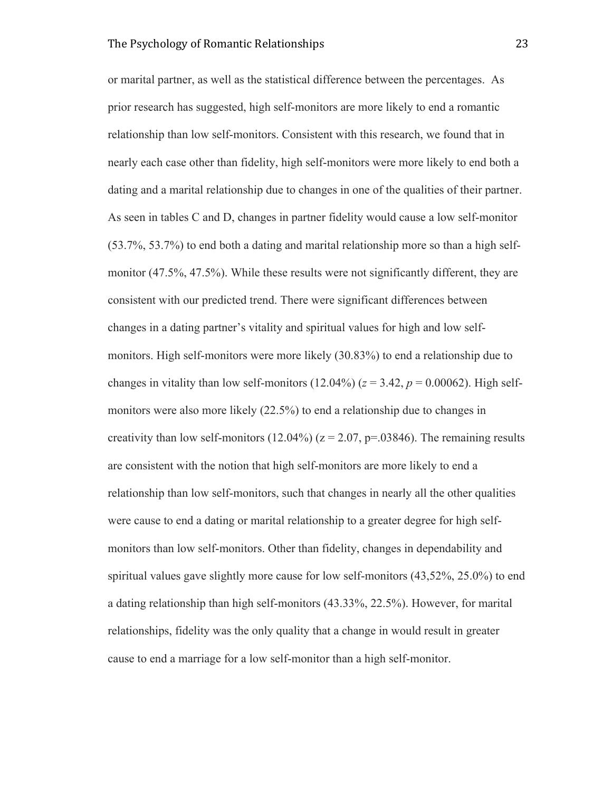or marital partner, as well as the statistical difference between the percentages. As prior research has suggested, high self-monitors are more likely to end a romantic relationship than low self-monitors. Consistent with this research, we found that in nearly each case other than fidelity, high self-monitors were more likely to end both a dating and a marital relationship due to changes in one of the qualities of their partner. As seen in tables C and D, changes in partner fidelity would cause a low self-monitor (53.7%, 53.7%) to end both a dating and marital relationship more so than a high selfmonitor (47.5%, 47.5%). While these results were not significantly different, they are consistent with our predicted trend. There were significant differences between changes in a dating partner's vitality and spiritual values for high and low selfmonitors. High self-monitors were more likely (30.83%) to end a relationship due to changes in vitality than low self-monitors  $(12.04\%)$  ( $z = 3.42$ ,  $p = 0.00062$ ). High selfmonitors were also more likely (22.5%) to end a relationship due to changes in creativity than low self-monitors (12.04%) ( $z = 2.07$ ,  $p = 0.03846$ ). The remaining results are consistent with the notion that high self-monitors are more likely to end a relationship than low self-monitors, such that changes in nearly all the other qualities were cause to end a dating or marital relationship to a greater degree for high selfmonitors than low self-monitors. Other than fidelity, changes in dependability and spiritual values gave slightly more cause for low self-monitors (43,52%, 25.0%) to end a dating relationship than high self-monitors (43.33%, 22.5%). However, for marital relationships, fidelity was the only quality that a change in would result in greater cause to end a marriage for a low self-monitor than a high self-monitor.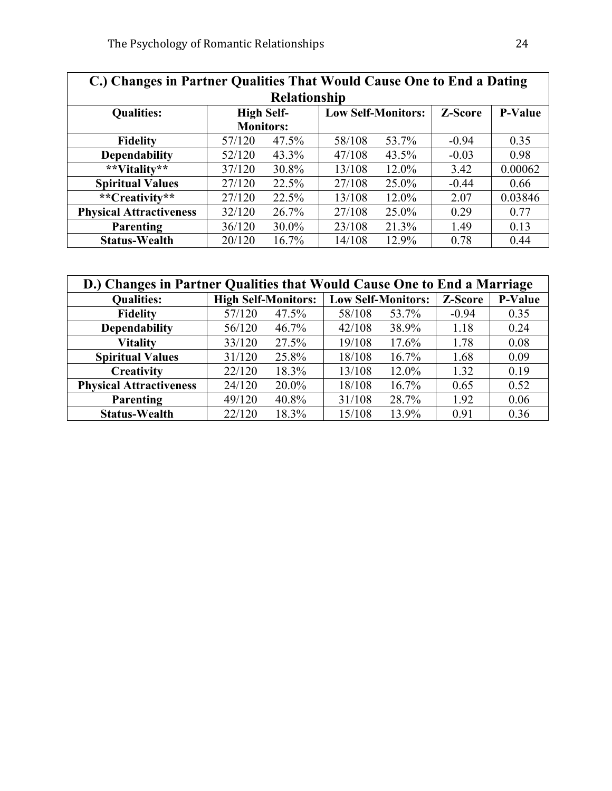| C.) Changes in Partner Qualities That Would Cause One to End a Dating |                   |          |                           |       |         |                |  |  |
|-----------------------------------------------------------------------|-------------------|----------|---------------------------|-------|---------|----------------|--|--|
| <b>Relationship</b>                                                   |                   |          |                           |       |         |                |  |  |
| <b>Qualities:</b>                                                     | <b>High Self-</b> |          | <b>Low Self-Monitors:</b> |       | Z-Score | <b>P-Value</b> |  |  |
|                                                                       | <b>Monitors:</b>  |          |                           |       |         |                |  |  |
| <b>Fidelity</b>                                                       | 57/120            | 47.5%    | 58/108                    | 53.7% | $-0.94$ | 0.35           |  |  |
| <b>Dependability</b>                                                  | 52/120            | 43.3%    | 47/108                    | 43.5% | $-0.03$ | 0.98           |  |  |
| **Vitality**                                                          | 37/120            | 30.8%    | 13/108                    | 12.0% | 3.42    | 0.00062        |  |  |
| <b>Spiritual Values</b>                                               | 27/120            | 22.5%    | 27/108                    | 25.0% | $-0.44$ | 0.66           |  |  |
| **Creativity**                                                        | 27/120            | 22.5%    | 13/108                    | 12.0% | 2.07    | 0.03846        |  |  |
| <b>Physical Attractiveness</b>                                        | 32/120            | 26.7%    | 27/108                    | 25.0% | 0.29    | 0.77           |  |  |
| Parenting                                                             | 36/120            | $30.0\%$ | 23/108                    | 21.3% | 1.49    | 0.13           |  |  |
| <b>Status-Wealth</b>                                                  | 20/120            | 16.7%    | 14/108                    | 12.9% | 0.78    | 0.44           |  |  |

| D.) Changes in Partner Qualities that Would Cause One to End a Marriage |                            |          |                           |          |         |                |  |
|-------------------------------------------------------------------------|----------------------------|----------|---------------------------|----------|---------|----------------|--|
| <b>Qualities:</b>                                                       | <b>High Self-Monitors:</b> |          | <b>Low Self-Monitors:</b> |          | Z-Score | <b>P-Value</b> |  |
| <b>Fidelity</b>                                                         | 57/120                     | 47.5%    | 58/108                    | 53.7%    | $-0.94$ | 0.35           |  |
| <b>Dependability</b>                                                    | 56/120                     | $46.7\%$ | 42/108                    | 38.9%    | 1.18    | 0.24           |  |
| <b>Vitality</b>                                                         | 33/120                     | 27.5%    | 19/108                    | 17.6%    | 1.78    | 0.08           |  |
| <b>Spiritual Values</b>                                                 | 31/120                     | 25.8%    | 18/108                    | $16.7\%$ | 1.68    | 0.09           |  |
| Creativity                                                              | 22/120                     | 18.3%    | 13/108                    | $12.0\%$ | 1.32    | 0.19           |  |
| <b>Physical Attractiveness</b>                                          | 24/120                     | 20.0%    | 18/108                    | 16.7%    | 0.65    | 0.52           |  |
| Parenting                                                               | 49/120                     | 40.8%    | 31/108                    | 28.7%    | 1.92    | 0.06           |  |
| <b>Status-Wealth</b>                                                    | 22/120                     | 18.3%    | 15/108                    | 13.9%    | 0.91    | 0.36           |  |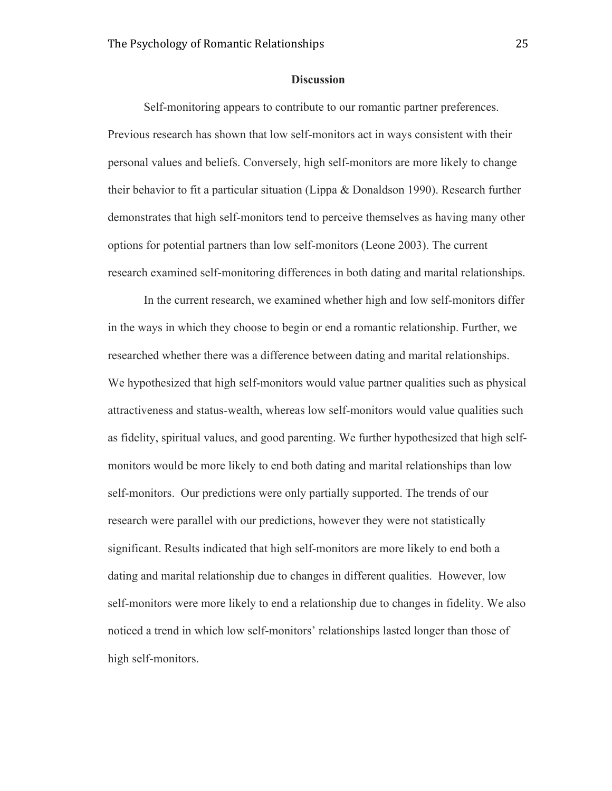#### **Discussion**

Self-monitoring appears to contribute to our romantic partner preferences. Previous research has shown that low self-monitors act in ways consistent with their personal values and beliefs. Conversely, high self-monitors are more likely to change their behavior to fit a particular situation (Lippa  $\&$  Donaldson 1990). Research further demonstrates that high self-monitors tend to perceive themselves as having many other options for potential partners than low self-monitors (Leone 2003). The current research examined self-monitoring differences in both dating and marital relationships.

In the current research, we examined whether high and low self-monitors differ in the ways in which they choose to begin or end a romantic relationship. Further, we researched whether there was a difference between dating and marital relationships. We hypothesized that high self-monitors would value partner qualities such as physical attractiveness and status-wealth, whereas low self-monitors would value qualities such as fidelity, spiritual values, and good parenting. We further hypothesized that high selfmonitors would be more likely to end both dating and marital relationships than low self-monitors. Our predictions were only partially supported. The trends of our research were parallel with our predictions, however they were not statistically significant. Results indicated that high self-monitors are more likely to end both a dating and marital relationship due to changes in different qualities. However, low self-monitors were more likely to end a relationship due to changes in fidelity. We also noticed a trend in which low self-monitors' relationships lasted longer than those of high self-monitors.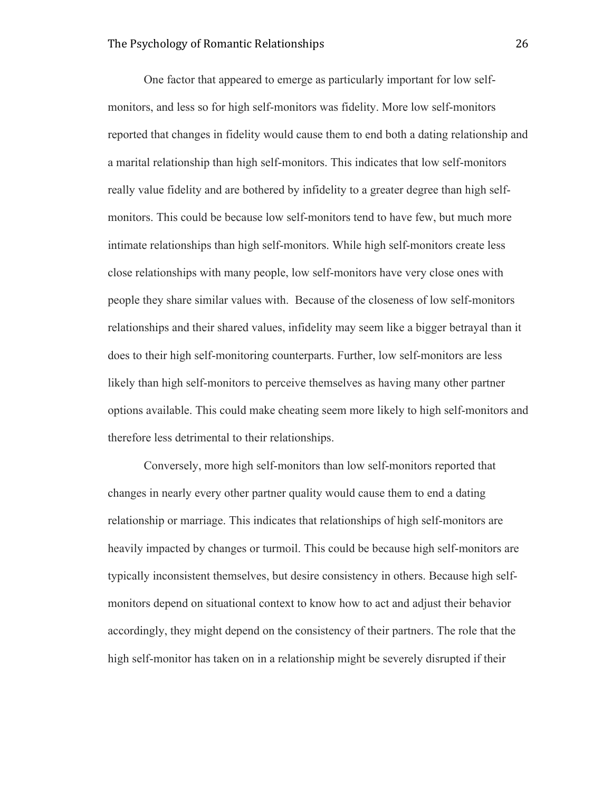One factor that appeared to emerge as particularly important for low selfmonitors, and less so for high self-monitors was fidelity. More low self-monitors reported that changes in fidelity would cause them to end both a dating relationship and a marital relationship than high self-monitors. This indicates that low self-monitors really value fidelity and are bothered by infidelity to a greater degree than high selfmonitors. This could be because low self-monitors tend to have few, but much more intimate relationships than high self-monitors. While high self-monitors create less close relationships with many people, low self-monitors have very close ones with people they share similar values with. Because of the closeness of low self-monitors relationships and their shared values, infidelity may seem like a bigger betrayal than it does to their high self-monitoring counterparts. Further, low self-monitors are less likely than high self-monitors to perceive themselves as having many other partner options available. This could make cheating seem more likely to high self-monitors and therefore less detrimental to their relationships.

Conversely, more high self-monitors than low self-monitors reported that changes in nearly every other partner quality would cause them to end a dating relationship or marriage. This indicates that relationships of high self-monitors are heavily impacted by changes or turmoil. This could be because high self-monitors are typically inconsistent themselves, but desire consistency in others. Because high selfmonitors depend on situational context to know how to act and adjust their behavior accordingly, they might depend on the consistency of their partners. The role that the high self-monitor has taken on in a relationship might be severely disrupted if their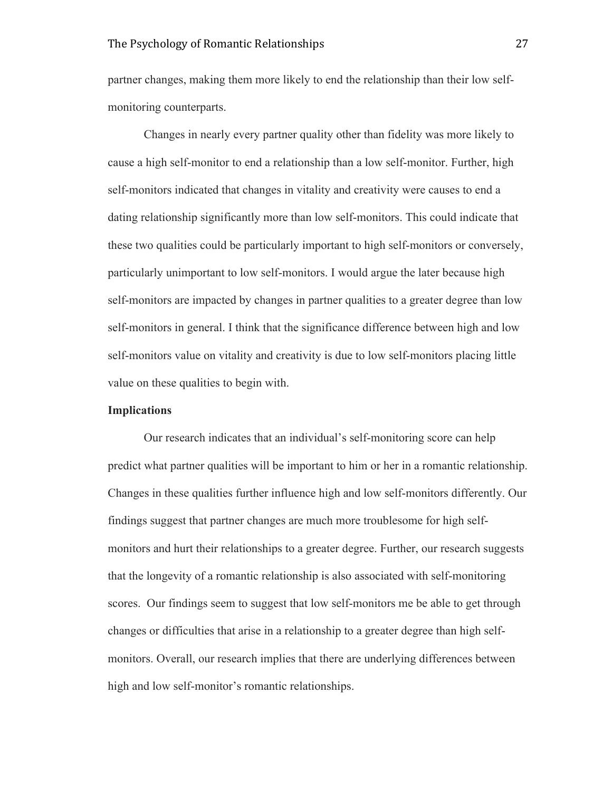partner changes, making them more likely to end the relationship than their low selfmonitoring counterparts.

Changes in nearly every partner quality other than fidelity was more likely to cause a high self-monitor to end a relationship than a low self-monitor. Further, high self-monitors indicated that changes in vitality and creativity were causes to end a dating relationship significantly more than low self-monitors. This could indicate that these two qualities could be particularly important to high self-monitors or conversely, particularly unimportant to low self-monitors. I would argue the later because high self-monitors are impacted by changes in partner qualities to a greater degree than low self-monitors in general. I think that the significance difference between high and low self-monitors value on vitality and creativity is due to low self-monitors placing little value on these qualities to begin with.

#### **Implications**

Our research indicates that an individual's self-monitoring score can help predict what partner qualities will be important to him or her in a romantic relationship. Changes in these qualities further influence high and low self-monitors differently. Our findings suggest that partner changes are much more troublesome for high selfmonitors and hurt their relationships to a greater degree. Further, our research suggests that the longevity of a romantic relationship is also associated with self-monitoring scores. Our findings seem to suggest that low self-monitors me be able to get through changes or difficulties that arise in a relationship to a greater degree than high selfmonitors. Overall, our research implies that there are underlying differences between high and low self-monitor's romantic relationships.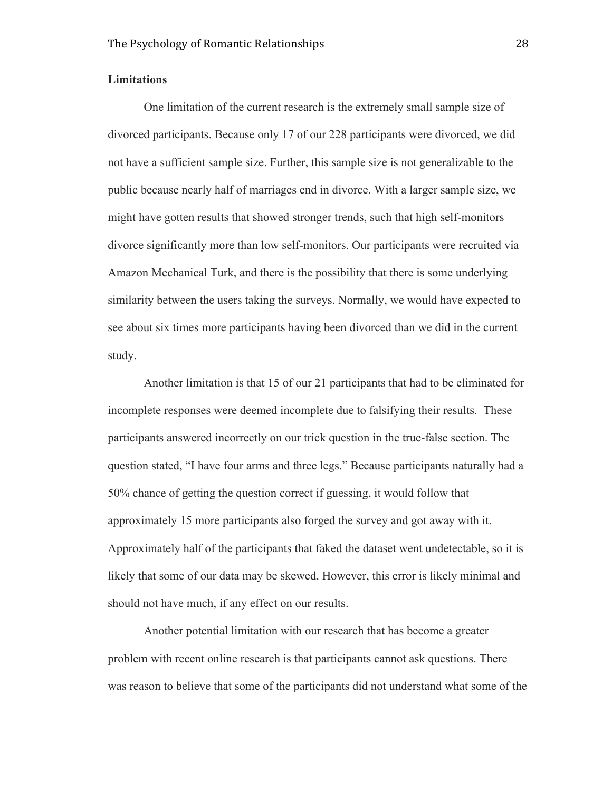#### **Limitations**

One limitation of the current research is the extremely small sample size of divorced participants. Because only 17 of our 228 participants were divorced, we did not have a sufficient sample size. Further, this sample size is not generalizable to the public because nearly half of marriages end in divorce. With a larger sample size, we might have gotten results that showed stronger trends, such that high self-monitors divorce significantly more than low self-monitors. Our participants were recruited via Amazon Mechanical Turk, and there is the possibility that there is some underlying similarity between the users taking the surveys. Normally, we would have expected to see about six times more participants having been divorced than we did in the current study.

Another limitation is that 15 of our 21 participants that had to be eliminated for incomplete responses were deemed incomplete due to falsifying their results. These participants answered incorrectly on our trick question in the true-false section. The question stated, "I have four arms and three legs." Because participants naturally had a 50% chance of getting the question correct if guessing, it would follow that approximately 15 more participants also forged the survey and got away with it. Approximately half of the participants that faked the dataset went undetectable, so it is likely that some of our data may be skewed. However, this error is likely minimal and should not have much, if any effect on our results.

Another potential limitation with our research that has become a greater problem with recent online research is that participants cannot ask questions. There was reason to believe that some of the participants did not understand what some of the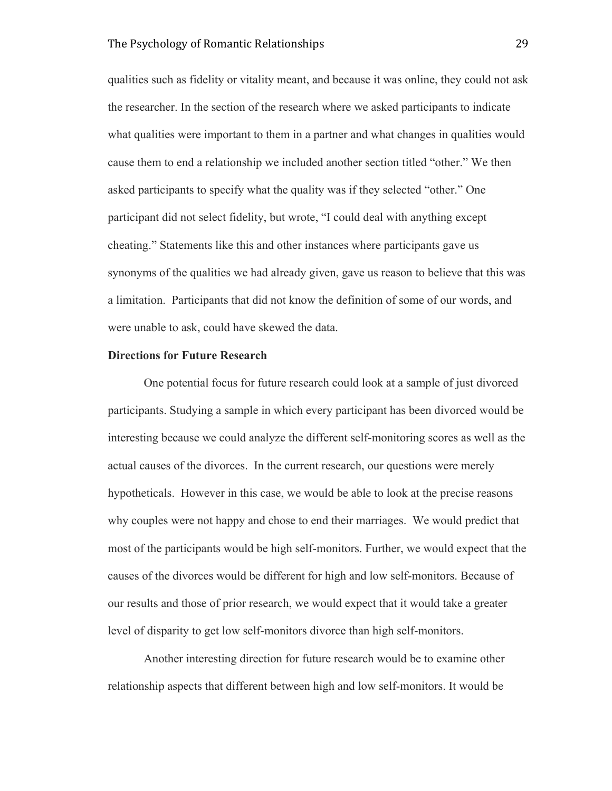qualities such as fidelity or vitality meant, and because it was online, they could not ask the researcher. In the section of the research where we asked participants to indicate what qualities were important to them in a partner and what changes in qualities would cause them to end a relationship we included another section titled "other." We then asked participants to specify what the quality was if they selected "other." One participant did not select fidelity, but wrote, "I could deal with anything except cheating." Statements like this and other instances where participants gave us synonyms of the qualities we had already given, gave us reason to believe that this was a limitation. Participants that did not know the definition of some of our words, and were unable to ask, could have skewed the data.

#### **Directions for Future Research**

One potential focus for future research could look at a sample of just divorced participants. Studying a sample in which every participant has been divorced would be interesting because we could analyze the different self-monitoring scores as well as the actual causes of the divorces. In the current research, our questions were merely hypotheticals. However in this case, we would be able to look at the precise reasons why couples were not happy and chose to end their marriages. We would predict that most of the participants would be high self-monitors. Further, we would expect that the causes of the divorces would be different for high and low self-monitors. Because of our results and those of prior research, we would expect that it would take a greater level of disparity to get low self-monitors divorce than high self-monitors.

Another interesting direction for future research would be to examine other relationship aspects that different between high and low self-monitors. It would be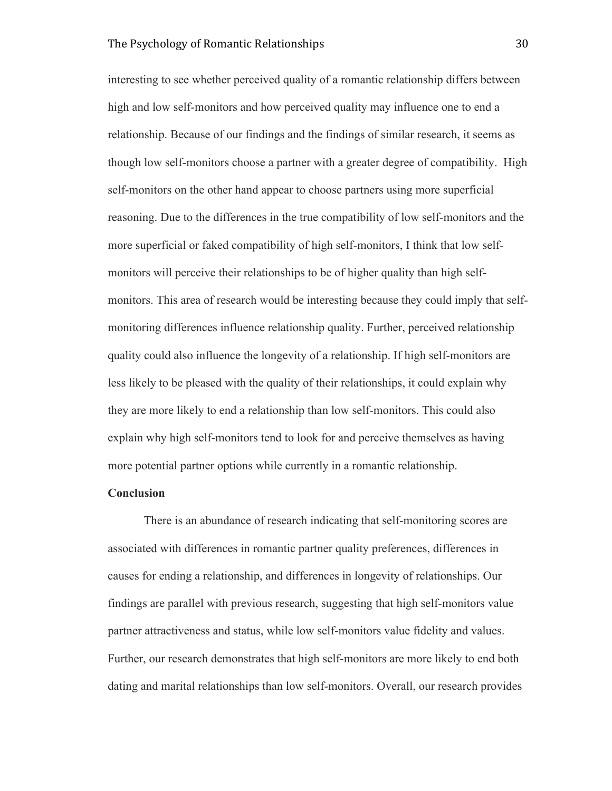interesting to see whether perceived quality of a romantic relationship differs between high and low self-monitors and how perceived quality may influence one to end a relationship. Because of our findings and the findings of similar research, it seems as though low self-monitors choose a partner with a greater degree of compatibility. High self-monitors on the other hand appear to choose partners using more superficial reasoning. Due to the differences in the true compatibility of low self-monitors and the more superficial or faked compatibility of high self-monitors, I think that low selfmonitors will perceive their relationships to be of higher quality than high selfmonitors. This area of research would be interesting because they could imply that selfmonitoring differences influence relationship quality. Further, perceived relationship quality could also influence the longevity of a relationship. If high self-monitors are less likely to be pleased with the quality of their relationships, it could explain why they are more likely to end a relationship than low self-monitors. This could also explain why high self-monitors tend to look for and perceive themselves as having more potential partner options while currently in a romantic relationship.

#### **Conclusion**

There is an abundance of research indicating that self-monitoring scores are associated with differences in romantic partner quality preferences, differences in causes for ending a relationship, and differences in longevity of relationships. Our findings are parallel with previous research, suggesting that high self-monitors value partner attractiveness and status, while low self-monitors value fidelity and values. Further, our research demonstrates that high self-monitors are more likely to end both dating and marital relationships than low self-monitors. Overall, our research provides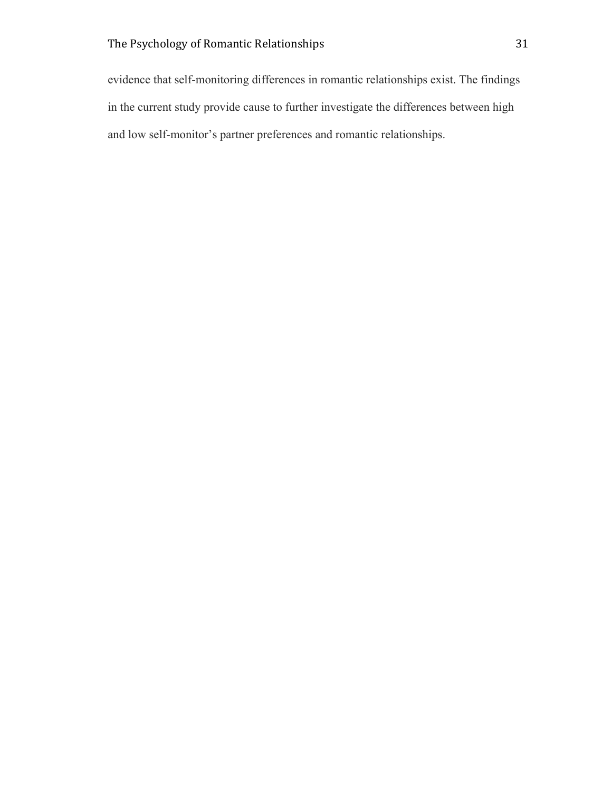evidence that self-monitoring differences in romantic relationships exist. The findings in the current study provide cause to further investigate the differences between high and low self-monitor's partner preferences and romantic relationships.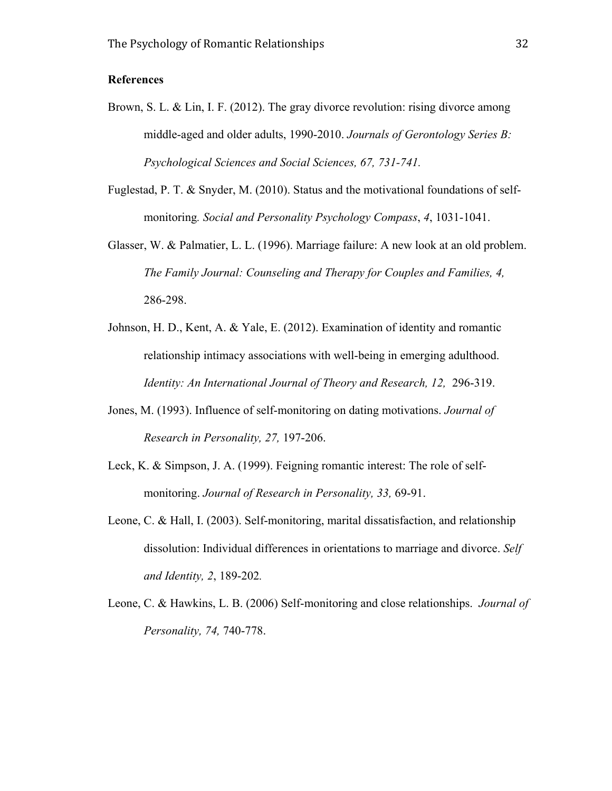## **References**

- Brown, S. L. & Lin, I. F. (2012). The gray divorce revolution: rising divorce among middle-aged and older adults, 1990-2010. *Journals of Gerontology Series B: Psychological Sciences and Social Sciences, 67, 731-741.*
- Fuglestad, P. T. & Snyder, M. (2010). Status and the motivational foundations of selfmonitoring*. Social and Personality Psychology Compass*, *4*, 1031-1041.
- Glasser, W. & Palmatier, L. L. (1996). Marriage failure: A new look at an old problem. *The Family Journal: Counseling and Therapy for Couples and Families, 4,*  286-298.
- Johnson, H. D., Kent, A. & Yale, E. (2012). Examination of identity and romantic relationship intimacy associations with well-being in emerging adulthood. *Identity: An International Journal of Theory and Research, 12, 296-319.*
- Jones, M. (1993). Influence of self-monitoring on dating motivations. *Journal of Research in Personality, 27,* 197-206.
- Leck, K. & Simpson, J. A. (1999). Feigning romantic interest: The role of selfmonitoring. *Journal of Research in Personality, 33,* 69-91.
- Leone, C. & Hall, I. (2003). Self-monitoring, marital dissatisfaction, and relationship dissolution: Individual differences in orientations to marriage and divorce. *Self and Identity, 2*, 189-202*.*
- Leone, C. & Hawkins, L. B. (2006) Self-monitoring and close relationships. *Journal of Personality, 74,* 740-778.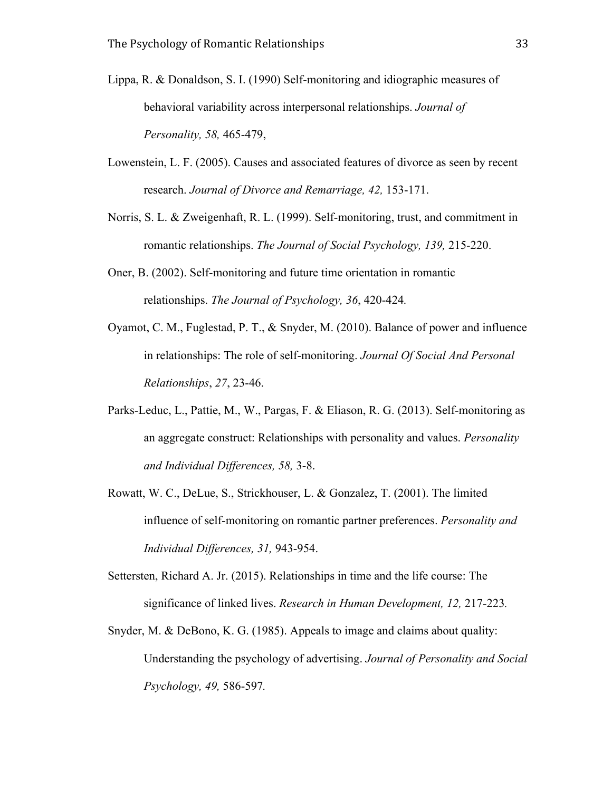- Lippa, R. & Donaldson, S. I. (1990) Self-monitoring and idiographic measures of behavioral variability across interpersonal relationships. *Journal of Personality, 58,* 465-479,
- Lowenstein, L. F. (2005). Causes and associated features of divorce as seen by recent research. *Journal of Divorce and Remarriage, 42,* 153-171.
- Norris, S. L. & Zweigenhaft, R. L. (1999). Self-monitoring, trust, and commitment in romantic relationships. *The Journal of Social Psychology, 139,* 215-220.
- Oner, B. (2002). Self-monitoring and future time orientation in romantic relationships. *The Journal of Psychology, 36*, 420-424*.*
- Oyamot, C. M., Fuglestad, P. T., & Snyder, M. (2010). Balance of power and influence in relationships: The role of self-monitoring. *Journal Of Social And Personal Relationships*, *27*, 23-46.
- Parks-Leduc, L., Pattie, M., W., Pargas, F. & Eliason, R. G. (2013). Self-monitoring as an aggregate construct: Relationships with personality and values. *Personality and Individual Differences, 58,* 3-8.
- Rowatt, W. C., DeLue, S., Strickhouser, L. & Gonzalez, T. (2001). The limited influence of self-monitoring on romantic partner preferences. *Personality and Individual Differences, 31,* 943-954.
- Settersten, Richard A. Jr. (2015). Relationships in time and the life course: The significance of linked lives. *Research in Human Development, 12,* 217-223*.*
- Snyder, M. & DeBono, K. G. (1985). Appeals to image and claims about quality: Understanding the psychology of advertising. *Journal of Personality and Social Psychology, 49,* 586-597*.*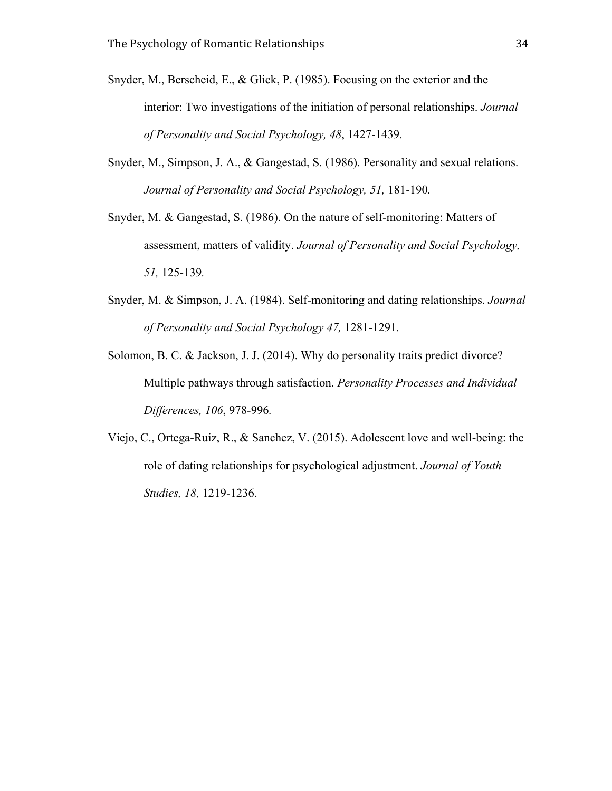- Snyder, M., Berscheid, E., & Glick, P. (1985). Focusing on the exterior and the interior: Two investigations of the initiation of personal relationships. *Journal of Personality and Social Psychology, 48*, 1427-1439*.*
- Snyder, M., Simpson, J. A., & Gangestad, S. (1986). Personality and sexual relations. *Journal of Personality and Social Psychology, 51,* 181-190*.*
- Snyder, M. & Gangestad, S. (1986). On the nature of self-monitoring: Matters of assessment, matters of validity. *Journal of Personality and Social Psychology, 51,* 125-139*.*
- Snyder, M. & Simpson, J. A. (1984). Self-monitoring and dating relationships. *Journal of Personality and Social Psychology 47,* 1281-1291*.*
- Solomon, B. C. & Jackson, J. J. (2014). Why do personality traits predict divorce? Multiple pathways through satisfaction. *Personality Processes and Individual Differences, 106*, 978-996*.*
- Viejo, C., Ortega-Ruiz, R., & Sanchez, V. (2015). Adolescent love and well-being: the role of dating relationships for psychological adjustment. *Journal of Youth Studies, 18,* 1219-1236.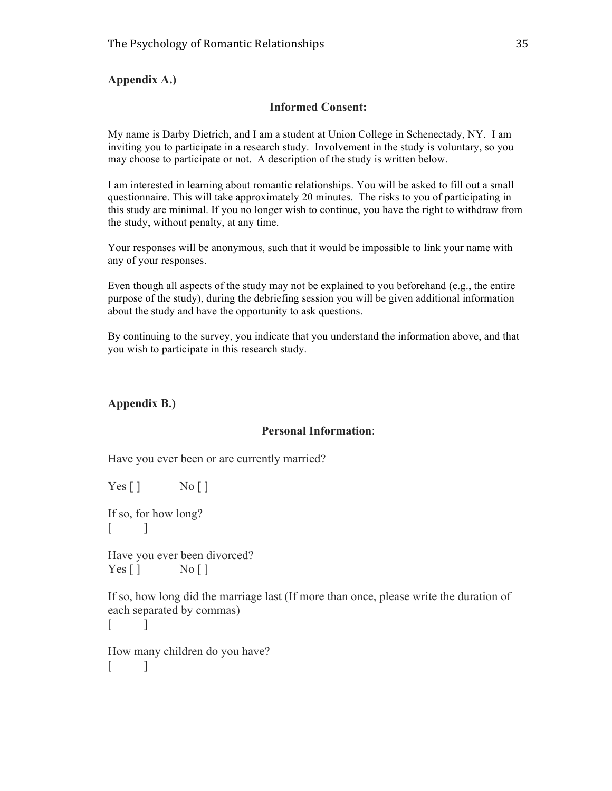## **Appendix A.)**

## **Informed Consent:**

My name is Darby Dietrich, and I am a student at Union College in Schenectady, NY. I am inviting you to participate in a research study. Involvement in the study is voluntary, so you may choose to participate or not. A description of the study is written below.

I am interested in learning about romantic relationships. You will be asked to fill out a small questionnaire. This will take approximately 20 minutes. The risks to you of participating in this study are minimal. If you no longer wish to continue, you have the right to withdraw from the study, without penalty, at any time.

Your responses will be anonymous, such that it would be impossible to link your name with any of your responses.

Even though all aspects of the study may not be explained to you beforehand (e.g., the entire purpose of the study), during the debriefing session you will be given additional information about the study and have the opportunity to ask questions.

By continuing to the survey, you indicate that you understand the information above, and that you wish to participate in this research study.

## **Appendix B.)**

## **Personal Information**:

Have you ever been or are currently married?

 $Yes []$  No [] If so, for how long?  $[$   $]$ Have you ever been divorced?  $Yes [ ]$  No [ ] If so, how long did the marriage last (If more than once, please write the duration of each separated by commas)  $\lceil$ How many children do you have?  $\Box$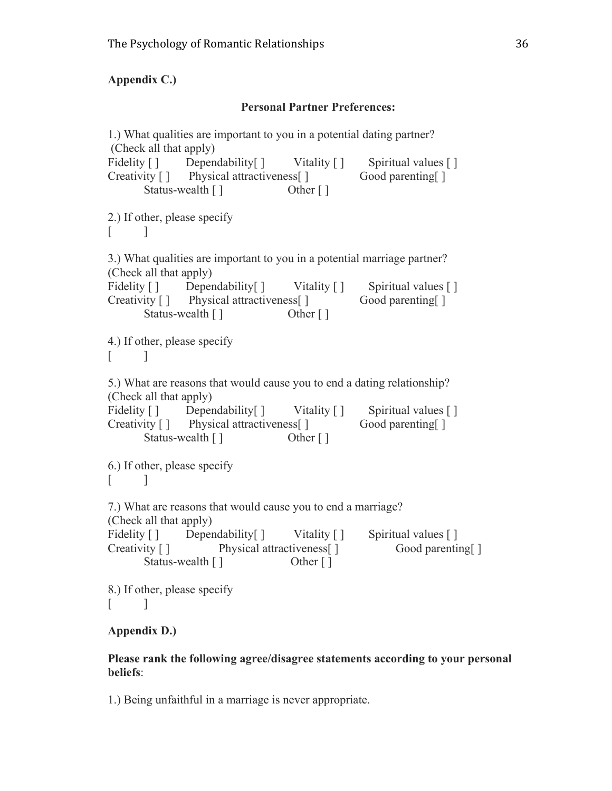## **Appendix C.)**

## **Personal Partner Preferences:**

1.) What qualities are important to you in a potential dating partner? (Check all that apply) Fidelity [ ] Dependability [ ] Vitality [ ] Spiritual values [ ] Creativity [ ] Physical attractiveness [ ] Good parenting [ ] Status-wealth [ ] Other [ ] 2.) If other, please specify  $\lceil$   $\lceil$ 3.) What qualities are important to you in a potential marriage partner? (Check all that apply) Fidelity [ ] Dependability [ ] Vitality [ ] Spiritual values [ ] Creativity [ ] Physical attractiveness [ ] Good parenting [ ] Status-wealth [ ] Other [ ] 4.) If other, please specify  $\lceil$   $\lceil$ 5.) What are reasons that would cause you to end a dating relationship? (Check all that apply) Fidelity [ ] Dependability [ ] Vitality [ ] Spiritual values [ ] Creativity [ ] Physical attractiveness [ ] Good parenting [ ] Status-wealth [ ] Other [ ] 6.) If other, please specify  $\lceil$   $\lceil$ 7.) What are reasons that would cause you to end a marriage? (Check all that apply) Fidelity [ ] Dependability [ ] Vitality [ ] Spiritual values [ ] Creativity [ ] Physical attractiveness [ ] Good parenting [ ] Status-wealth [ ] Other [ ] 8.) If other, please specify  $\lceil$   $\lceil$ 

## **Appendix D.)**

## **Please rank the following agree/disagree statements according to your personal beliefs**:

1.) Being unfaithful in a marriage is never appropriate.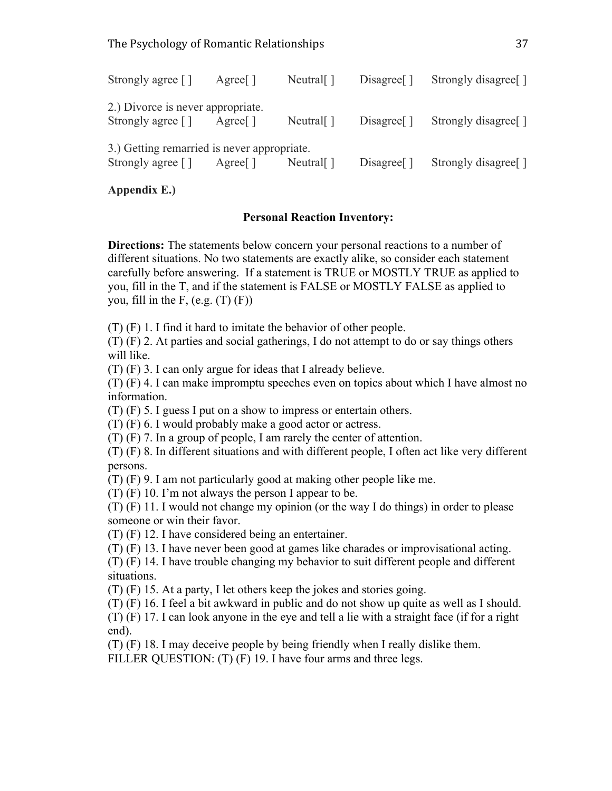| Strongly agree []                                                                   | Agree               | Neutral $\lceil$              | $Disagree \lceil \rceil$ | Strongly disagree <sup>[]</sup> |
|-------------------------------------------------------------------------------------|---------------------|-------------------------------|--------------------------|---------------------------------|
| 2.) Divorce is never appropriate.<br>Strongly agree $\lceil \cdot \rceil$           | Agree               | Neutral $\lceil$              | $Disagree \lceil \rceil$ | Strongly disagree <sup>[]</sup> |
| 3.) Getting remarried is never appropriate.<br>Strongly agree $\lceil \cdot \rceil$ | Agree <sup>[]</sup> | Neutral $\lceil \cdot \rceil$ | $Disagree \lceil \rceil$ | Strongly disagree <sup>[]</sup> |

**Appendix E.)**

## **Personal Reaction Inventory:**

**Directions:** The statements below concern your personal reactions to a number of different situations. No two statements are exactly alike, so consider each statement carefully before answering. If a statement is TRUE or MOSTLY TRUE as applied to you, fill in the T, and if the statement is FALSE or MOSTLY FALSE as applied to you, fill in the F,  $(e.g. (T) (F))$ 

(T) (F) 1. I find it hard to imitate the behavior of other people.

(T) (F) 2. At parties and social gatherings, I do not attempt to do or say things others will like.

(T) (F) 3. I can only argue for ideas that I already believe.

(T) (F) 4. I can make impromptu speeches even on topics about which I have almost no information.

(T) (F) 5. I guess I put on a show to impress or entertain others.

(T) (F) 6. I would probably make a good actor or actress.

(T) (F) 7. In a group of people, I am rarely the center of attention.

(T) (F) 8. In different situations and with different people, I often act like very different persons.

(T) (F) 9. I am not particularly good at making other people like me.

(T) (F) 10. I'm not always the person I appear to be.

(T) (F) 11. I would not change my opinion (or the way I do things) in order to please someone or win their favor.

(T) (F) 12. I have considered being an entertainer.

(T) (F) 13. I have never been good at games like charades or improvisational acting.

(T) (F) 14. I have trouble changing my behavior to suit different people and different situations.

(T) (F) 15. At a party, I let others keep the jokes and stories going.

(T) (F) 16. I feel a bit awkward in public and do not show up quite as well as I should. (T) (F) 17. I can look anyone in the eye and tell a lie with a straight face (if for a right

end).

(T) (F) 18. I may deceive people by being friendly when I really dislike them.

FILLER QUESTION: (T) (F) 19. I have four arms and three legs.